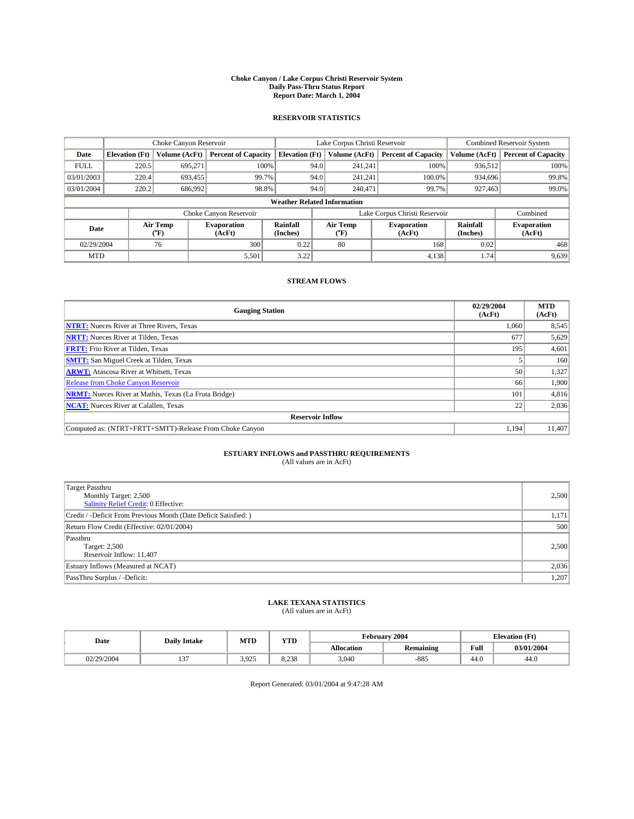#### **Choke Canyon / Lake Corpus Christi Reservoir System Daily Pass-Thru Status Report Report Date: March 1, 2004**

### **RESERVOIR STATISTICS**

|                                    | Choke Canyon Reservoir |                  | Lake Corpus Christi Reservoir |                             |      |                  | <b>Combined Reservoir System</b> |                      |                              |
|------------------------------------|------------------------|------------------|-------------------------------|-----------------------------|------|------------------|----------------------------------|----------------------|------------------------------|
| Date                               | <b>Elevation</b> (Ft)  | Volume (AcFt)    | <b>Percent of Capacity</b>    | <b>Elevation (Ft)</b>       |      | Volume (AcFt)    | <b>Percent of Capacity</b>       | Volume (AcFt)        | <b>Percent of Capacity</b>   |
| <b>FULL</b>                        | 220.5                  | 695,271          | 100%                          |                             | 94.0 | 241,241          | 100%                             | 936.512              | 100%                         |
| 03/01/2003                         | 220.4                  | 693.455          | 99.7%                         |                             | 94.0 | 241.241          | $100.0\%$                        | 934,696              | 99.8%                        |
| 03/01/2004                         | 220.2                  | 686,992          | 98.8%                         |                             | 94.0 | 240.471          | 99.7%                            | 927,463              | 99.0%                        |
| <b>Weather Related Information</b> |                        |                  |                               |                             |      |                  |                                  |                      |                              |
|                                    |                        |                  | Choke Canyon Reservoir        |                             |      |                  | Lake Corpus Christi Reservoir    |                      | Combined                     |
| Date                               |                        | Air Temp<br>(°F) | <b>Evaporation</b><br>(AcFt)  | <b>Rainfall</b><br>(Inches) |      | Air Temp<br>("F) | <b>Evaporation</b><br>(AcFt)     | Rainfall<br>(Inches) | <b>Evaporation</b><br>(AcFt) |
| 02/29/2004                         |                        | 76               | 300                           | 0.22                        |      | 80               | 168                              | 0.02                 | 468                          |
| <b>MTD</b>                         |                        |                  | 5,501                         | 3.22                        |      |                  | 4,138                            | 1.74                 | 9,639                        |

## **STREAM FLOWS**

| <b>Gauging Station</b>                                       | 02/29/2004<br>(AcFt) | <b>MTD</b><br>(AcFt) |
|--------------------------------------------------------------|----------------------|----------------------|
| <b>NTRT:</b> Nueces River at Three Rivers, Texas             | 1,060                | 8,545                |
| <b>NRTT:</b> Nueces River at Tilden, Texas                   | 677                  | 5,629                |
| <b>FRTT:</b> Frio River at Tilden, Texas                     | 195                  | 4,601                |
| <b>SMTT:</b> San Miguel Creek at Tilden, Texas               |                      | 160                  |
| <b>ARWT:</b> Atascosa River at Whitsett, Texas               | 50                   | 1,327                |
| <b>Release from Choke Canyon Reservoir</b>                   | 66                   | 1,900                |
| <b>NRMT:</b> Nueces River at Mathis, Texas (La Fruta Bridge) | 101                  | 4,816                |
| <b>NCAT:</b> Nueces River at Calallen, Texas                 | 22                   | 2,036                |
| <b>Reservoir Inflow</b>                                      |                      |                      |
| Computed as: (NTRT+FRTT+SMTT)-Release From Choke Canyon      | 1,194                | 11.407               |

## **ESTUARY INFLOWS and PASSTHRU REQUIREMENTS**<br>(All values are in AcFt)

| <b>Target Passthru</b><br>Monthly Target: 2,500<br>Salinity Relief Credit: 0 Effective: | 2,500 |
|-----------------------------------------------------------------------------------------|-------|
| Credit / -Deficit From Previous Month (Date Deficit Satisfied: )                        | 1,171 |
| Return Flow Credit (Effective: 02/01/2004)                                              | 500   |
| Passthru<br>Target: 2,500<br>Reservoir Inflow: 11,407                                   | 2,500 |
| Estuary Inflows (Measured at NCAT)                                                      | 2,036 |
| PassThru Surplus / -Deficit:                                                            | 1,207 |

# **LAKE TEXANA STATISTICS** (All values are in AcFt)

| Date       | <b>Daily Intake</b>      | <b>MTD</b> | $\mathbf{v}$<br>1 I D |                   | February 2004    | <b>Elevation (Ft)</b>   |            |
|------------|--------------------------|------------|-----------------------|-------------------|------------------|-------------------------|------------|
|            |                          |            |                       | <b>Allocation</b> | <b>Remaining</b> | Full                    | 03/01/2004 |
| 02/29/2004 | $\sim$<br>$\overline{ }$ | 3.925      | 0.220<br>8.238        | 3,040             | $-885$           | $\overline{AB}$<br>44.U | 44.0       |

Report Generated: 03/01/2004 at 9:47:28 AM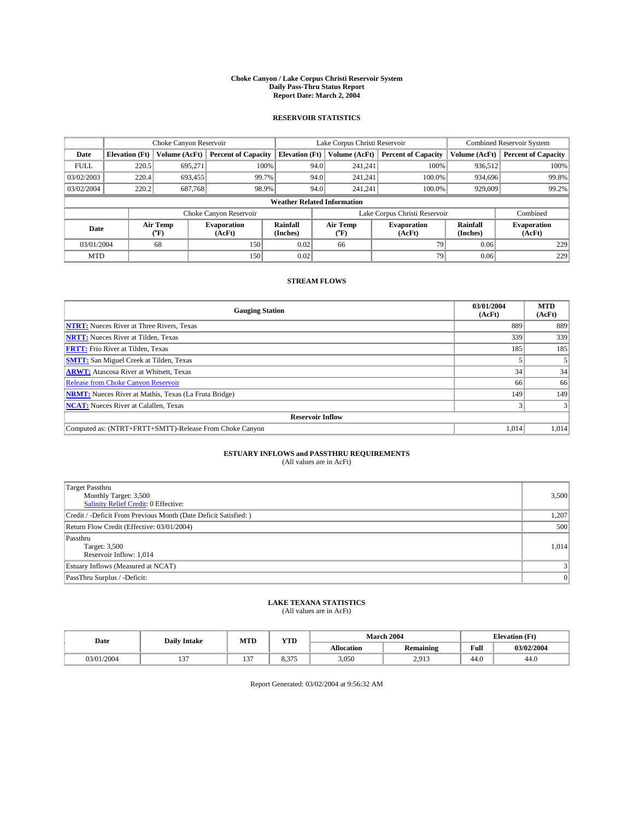#### **Choke Canyon / Lake Corpus Christi Reservoir System Daily Pass-Thru Status Report Report Date: March 2, 2004**

### **RESERVOIR STATISTICS**

|                                    | Choke Canyon Reservoir |                  | Lake Corpus Christi Reservoir |                             |      |                  | <b>Combined Reservoir System</b> |                      |                              |
|------------------------------------|------------------------|------------------|-------------------------------|-----------------------------|------|------------------|----------------------------------|----------------------|------------------------------|
| Date                               | <b>Elevation</b> (Ft)  | Volume (AcFt)    | <b>Percent of Capacity</b>    | <b>Elevation (Ft)</b>       |      | Volume (AcFt)    | <b>Percent of Capacity</b>       | Volume (AcFt)        | <b>Percent of Capacity</b>   |
| <b>FULL</b>                        | 220.5                  | 695,271          | 100%                          |                             | 94.0 | 241,241          | 100%                             | 936.512              | 100%                         |
| 03/02/2003                         | 220.4                  | 693.455          | 99.7%                         |                             | 94.0 | 241.241          | $100.0\%$                        | 934,696              | 99.8%                        |
| 03/02/2004                         | 220.2                  | 687,768          | 98.9%                         |                             | 94.0 | 241.241          | $100.0\%$                        | 929,009              | 99.2%                        |
| <b>Weather Related Information</b> |                        |                  |                               |                             |      |                  |                                  |                      |                              |
|                                    |                        |                  | Choke Canyon Reservoir        |                             |      |                  | Lake Corpus Christi Reservoir    |                      | Combined                     |
| Date                               |                        | Air Temp<br>(°F) | <b>Evaporation</b><br>(AcFt)  | <b>Rainfall</b><br>(Inches) |      | Air Temp<br>("F) | <b>Evaporation</b><br>(AcFt)     | Rainfall<br>(Inches) | <b>Evaporation</b><br>(AcFt) |
| 03/01/2004                         |                        | 68               | 150                           | 0.02                        |      | 66               | 79                               | 0.06                 | 229                          |
| <b>MTD</b>                         |                        |                  | 150                           | 0.02                        |      |                  | 79                               | 0.06                 | 229                          |

## **STREAM FLOWS**

| <b>Gauging Station</b>                                       | 03/01/2004<br>(AcFt) | <b>MTD</b><br>(AcFt) |  |  |  |  |
|--------------------------------------------------------------|----------------------|----------------------|--|--|--|--|
| <b>NTRT:</b> Nueces River at Three Rivers, Texas             | 889                  | 889                  |  |  |  |  |
| <b>NRTT:</b> Nueces River at Tilden, Texas                   | 339                  | 339                  |  |  |  |  |
| <b>FRTT:</b> Frio River at Tilden, Texas                     | 185                  | 185                  |  |  |  |  |
| <b>SMTT:</b> San Miguel Creek at Tilden, Texas               |                      |                      |  |  |  |  |
| <b>ARWT:</b> Atascosa River at Whitsett, Texas               | 34                   | 34                   |  |  |  |  |
| <b>Release from Choke Canyon Reservoir</b>                   | 66                   | 66                   |  |  |  |  |
| <b>NRMT:</b> Nueces River at Mathis, Texas (La Fruta Bridge) | 149                  | 149                  |  |  |  |  |
| <b>NCAT:</b> Nueces River at Calallen, Texas                 |                      |                      |  |  |  |  |
| <b>Reservoir Inflow</b>                                      |                      |                      |  |  |  |  |
| Computed as: (NTRT+FRTT+SMTT)-Release From Choke Canyon      | 1.014                | 1,014                |  |  |  |  |

## **ESTUARY INFLOWS and PASSTHRU REQUIREMENTS**<br>(All values are in AcFt)

| <b>Target Passthru</b><br>Monthly Target: 3,500<br>Salinity Relief Credit: 0 Effective: | 3,500          |
|-----------------------------------------------------------------------------------------|----------------|
| Credit / -Deficit From Previous Month (Date Deficit Satisfied: )                        | 1,207          |
| Return Flow Credit (Effective: 03/01/2004)                                              | 500            |
| Passthru<br>Target: 3,500<br>Reservoir Inflow: 1,014                                    | 1,014          |
| Estuary Inflows (Measured at NCAT)                                                      |                |
| PassThru Surplus / -Deficit:                                                            | $\overline{0}$ |

# **LAKE TEXANA STATISTICS** (All values are in AcFt)

| Date       | <b>Daily Intake</b> | MTD           | <b>WTPD</b><br>1 I.D |                   | <b>March 2004</b> | <b>Elevation</b> (Ft) |            |
|------------|---------------------|---------------|----------------------|-------------------|-------------------|-----------------------|------------|
|            |                     |               |                      | <b>Allocation</b> | <b>Remaining</b>  | Full                  | 03/02/2004 |
| 03/01/2004 | $\sim$ $\sim$       | $\sim$<br>. . | $\sim$<br>8.37       | 3,050             | 2,913             | 44.U                  | 44.U       |

Report Generated: 03/02/2004 at 9:56:32 AM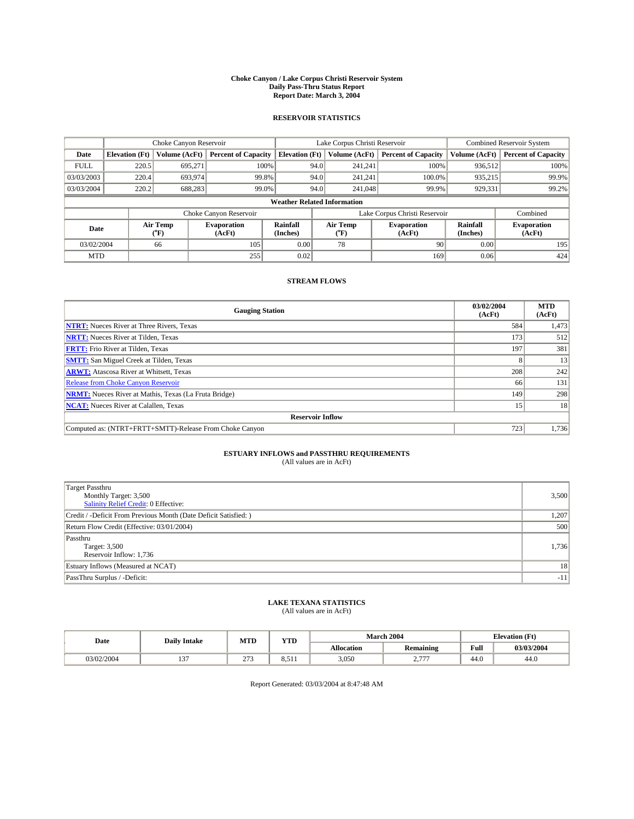#### **Choke Canyon / Lake Corpus Christi Reservoir System Daily Pass-Thru Status Report Report Date: March 3, 2004**

### **RESERVOIR STATISTICS**

|                                    | Choke Canyon Reservoir |                          | Lake Corpus Christi Reservoir |                       |      |                  | <b>Combined Reservoir System</b> |                      |                              |
|------------------------------------|------------------------|--------------------------|-------------------------------|-----------------------|------|------------------|----------------------------------|----------------------|------------------------------|
| Date                               | <b>Elevation</b> (Ft)  | Volume (AcFt)            | <b>Percent of Capacity</b>    | <b>Elevation</b> (Ft) |      | Volume (AcFt)    | <b>Percent of Capacity</b>       | Volume (AcFt)        | <b>Percent of Capacity</b>   |
| <b>FULL</b>                        | 220.5                  | 695,271                  | 100%                          |                       | 94.0 | 241,241          | 100%                             | 936.512              | 100%                         |
| 03/03/2003                         | 220.4                  | 693,974                  | 99.8%                         |                       | 94.0 | 241.241          | 100.0%                           | 935.215              | 99.9%                        |
| 03/03/2004                         | 220.2                  | 688,283                  | 99.0%                         |                       | 94.0 | 241,048          | 99.9%                            | 929,331              | 99.2%                        |
| <b>Weather Related Information</b> |                        |                          |                               |                       |      |                  |                                  |                      |                              |
|                                    |                        |                          | Choke Canyon Reservoir        |                       |      |                  | Lake Corpus Christi Reservoir    |                      | Combined                     |
| Date                               |                        | Air Temp<br>$\rm ^{6}F)$ | <b>Evaporation</b><br>(AcFt)  | Rainfall<br>(Inches)  |      | Air Temp<br>("F) | <b>Evaporation</b><br>(AcFt)     | Rainfall<br>(Inches) | <b>Evaporation</b><br>(AcFt) |
| 03/02/2004                         |                        | 66                       | 105                           | 0.00                  |      | 78               | 90 <sub>1</sub>                  | 0.00                 | 195                          |
| <b>MTD</b>                         |                        |                          | 255                           | 0.02                  |      |                  | 169                              | 0.06                 | 424                          |

## **STREAM FLOWS**

| <b>Gauging Station</b>                                       | 03/02/2004<br>(AcFt) | <b>MTD</b><br>(AcFt) |  |  |  |  |
|--------------------------------------------------------------|----------------------|----------------------|--|--|--|--|
| <b>NTRT:</b> Nueces River at Three Rivers, Texas             | 584                  | 1,473                |  |  |  |  |
| <b>NRTT:</b> Nueces River at Tilden, Texas                   | 173                  | 512                  |  |  |  |  |
| <b>FRTT:</b> Frio River at Tilden, Texas                     | 197                  | 381                  |  |  |  |  |
| <b>SMTT:</b> San Miguel Creek at Tilden, Texas               | $\lambda$            | 13                   |  |  |  |  |
| <b>ARWT:</b> Atascosa River at Whitsett, Texas               | 208                  | 242                  |  |  |  |  |
| <b>Release from Choke Canyon Reservoir</b>                   | 66                   | 131                  |  |  |  |  |
| <b>NRMT:</b> Nueces River at Mathis, Texas (La Fruta Bridge) | 149                  | 298                  |  |  |  |  |
| <b>NCAT:</b> Nueces River at Calallen, Texas                 | 15.                  | 18                   |  |  |  |  |
| <b>Reservoir Inflow</b>                                      |                      |                      |  |  |  |  |
| Computed as: (NTRT+FRTT+SMTT)-Release From Choke Canyon      | 723                  | 1,736                |  |  |  |  |

## **ESTUARY INFLOWS and PASSTHRU REQUIREMENTS**<br>(All values are in AcFt)

| <b>Target Passthru</b><br>Monthly Target: 3,500<br><b>Salinity Relief Credit: 0 Effective:</b> | 3,500           |
|------------------------------------------------------------------------------------------------|-----------------|
| Credit / -Deficit From Previous Month (Date Deficit Satisfied: )                               | 1,207           |
| Return Flow Credit (Effective: 03/01/2004)                                                     | 500             |
| Passthru<br>Target: 3,500<br>Reservoir Inflow: 1,736                                           | 1,736           |
| Estuary Inflows (Measured at NCAT)                                                             | 18 <sup>l</sup> |
| PassThru Surplus / -Deficit:                                                                   | $-11$           |

# **LAKE TEXANA STATISTICS** (All values are in AcFt)

| Date              | <b>Daily Intake</b> | MTD                | $\mathbf{v}$<br>1 I D                         |                   | <b>March 2004</b> | <b>Elevation</b> (Ft)   |            |
|-------------------|---------------------|--------------------|-----------------------------------------------|-------------------|-------------------|-------------------------|------------|
|                   |                     |                    |                                               | <b>Allocation</b> | <b>Remaining</b>  | Full                    | 03/03/2004 |
| 3/02/2004<br>.∪∪∼ | $\sim$<br>، ب ۱     | $\sim$<br><u>.</u> | <b>U.J.I</b><br>and the state of the state of | 3,050             | $---$<br><u>.</u> | $\overline{AB}$<br>44.U | 44.0       |

Report Generated: 03/03/2004 at 8:47:48 AM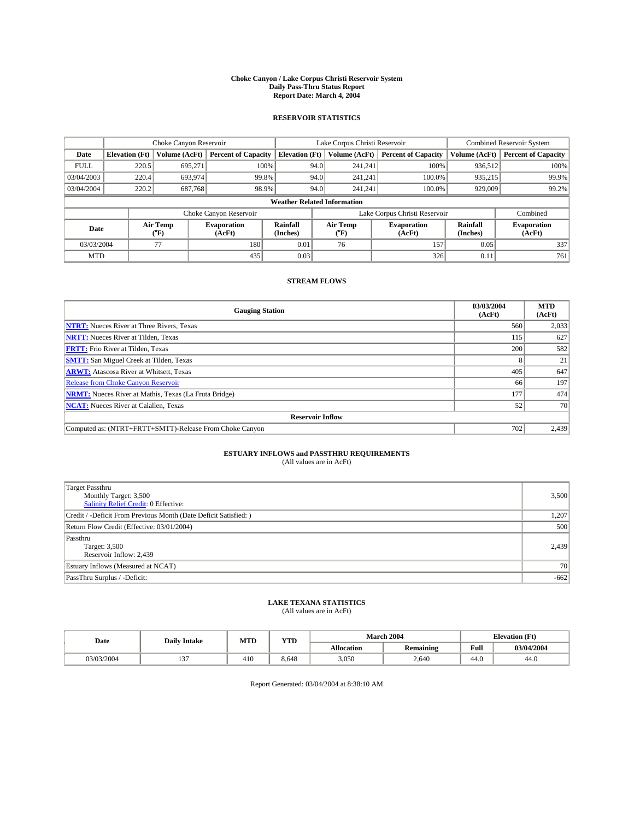#### **Choke Canyon / Lake Corpus Christi Reservoir System Daily Pass-Thru Status Report Report Date: March 4, 2004**

### **RESERVOIR STATISTICS**

|             | Choke Canyon Reservoir             |                             | Lake Corpus Christi Reservoir |                             |      |                  | <b>Combined Reservoir System</b> |                      |                              |  |
|-------------|------------------------------------|-----------------------------|-------------------------------|-----------------------------|------|------------------|----------------------------------|----------------------|------------------------------|--|
| Date        | <b>Elevation</b> (Ft)              | Volume (AcFt)               | <b>Percent of Capacity</b>    | <b>Elevation</b> (Ft)       |      | Volume (AcFt)    | <b>Percent of Capacity</b>       | Volume (AcFt)        | <b>Percent of Capacity</b>   |  |
| <b>FULL</b> | 220.5                              | 695,271                     |                               | 100%                        | 94.0 | 241,241          | 100%                             | 936.512              | 100%                         |  |
| 03/04/2003  | 220.4                              | 693,974                     | 99.8%                         |                             | 94.0 | 241.241          | $100.0\%$                        | 935.215              | 99.9%                        |  |
| 03/04/2004  | 220.2                              | 687,768                     | 98.9%                         |                             | 94.0 | 241.241          | $100.0\%$                        | 929,009              | 99.2%                        |  |
|             | <b>Weather Related Information</b> |                             |                               |                             |      |                  |                                  |                      |                              |  |
|             |                                    |                             | Choke Canyon Reservoir        |                             |      |                  | Lake Corpus Christi Reservoir    |                      | Combined                     |  |
| Date        |                                    | Air Temp<br>${}^{\circ}$ F) | <b>Evaporation</b><br>(AcFt)  | <b>Rainfall</b><br>(Inches) |      | Air Temp<br>("F) | <b>Evaporation</b><br>(AcFt)     | Rainfall<br>(Inches) | <b>Evaporation</b><br>(AcFt) |  |
| 03/03/2004  |                                    | 77                          | 180                           | 0.01                        |      | 76               | 157                              | 0.05                 | 337                          |  |
| <b>MTD</b>  |                                    |                             | 435                           | 0.03                        |      |                  | 326                              | 0.11                 | 761                          |  |

## **STREAM FLOWS**

| <b>Gauging Station</b>                                       | 03/03/2004<br>(AcFt) | <b>MTD</b><br>(AcFt) |  |  |  |  |
|--------------------------------------------------------------|----------------------|----------------------|--|--|--|--|
| <b>NTRT:</b> Nueces River at Three Rivers, Texas             | 560                  | 2,033                |  |  |  |  |
| <b>NRTT:</b> Nueces River at Tilden, Texas                   | 115                  | 627                  |  |  |  |  |
| <b>FRTT:</b> Frio River at Tilden, Texas                     | 200                  | 582                  |  |  |  |  |
| <b>SMTT:</b> San Miguel Creek at Tilden, Texas               |                      | 21                   |  |  |  |  |
| <b>ARWT:</b> Atascosa River at Whitsett, Texas               | 405                  | 647                  |  |  |  |  |
| <b>Release from Choke Canyon Reservoir</b>                   | 66                   | 197                  |  |  |  |  |
| <b>NRMT:</b> Nueces River at Mathis, Texas (La Fruta Bridge) | 177                  | 474                  |  |  |  |  |
| <b>NCAT:</b> Nueces River at Calallen, Texas                 | 52                   | 70                   |  |  |  |  |
| <b>Reservoir Inflow</b>                                      |                      |                      |  |  |  |  |
| Computed as: (NTRT+FRTT+SMTT)-Release From Choke Canyon      | 702                  | 2,439                |  |  |  |  |

## **ESTUARY INFLOWS and PASSTHRU REQUIREMENTS**<br>(All values are in AcFt)

| <b>Target Passthru</b><br>Monthly Target: 3,500<br>Salinity Relief Credit: 0 Effective: | 3,500           |
|-----------------------------------------------------------------------------------------|-----------------|
| Credit / -Deficit From Previous Month (Date Deficit Satisfied: )                        | 1,207           |
| Return Flow Credit (Effective: 03/01/2004)                                              | 500             |
| Passthru<br>Target: 3,500<br>Reservoir Inflow: 2,439                                    | 2,439           |
| Estuary Inflows (Measured at NCAT)                                                      | 70 <sup>1</sup> |
| PassThru Surplus / -Deficit:                                                            | $-662$          |

# **LAKE TEXANA STATISTICS** (All values are in AcFt)

| Date       | <b>Daily Intake</b> | MTD | <b>WTPD</b><br>1 I.D |                   | <b>March 2004</b> | <b>Elevation</b> (Ft) |            |  |
|------------|---------------------|-----|----------------------|-------------------|-------------------|-----------------------|------------|--|
|            |                     |     |                      | <b>Allocation</b> | <b>Remaining</b>  | Full                  | 03/04/2004 |  |
| 03/03/2004 | $\sim$ $\sim$       | 410 | 8.648                | 3,050             | 2,640             | 44.U                  | 44.U       |  |

Report Generated: 03/04/2004 at 8:38:10 AM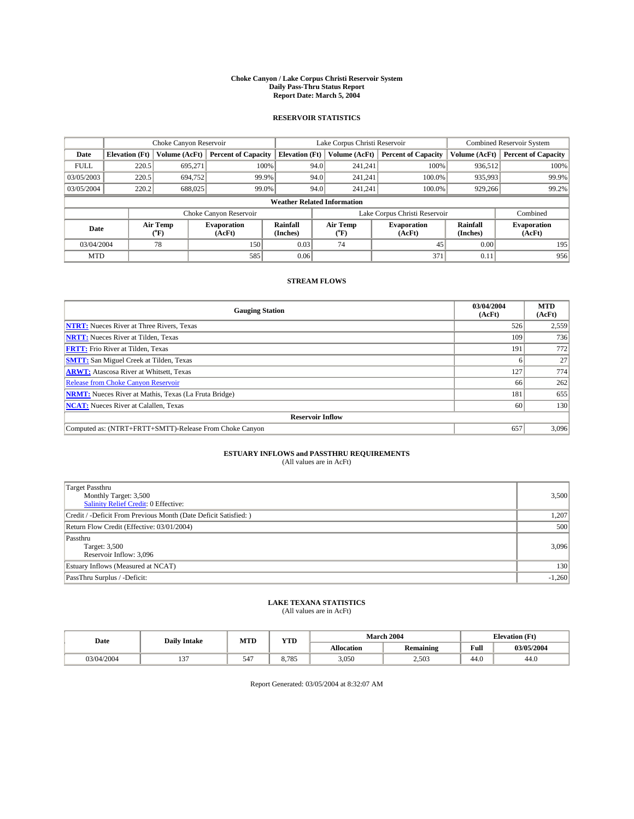#### **Choke Canyon / Lake Corpus Christi Reservoir System Daily Pass-Thru Status Report Report Date: March 5, 2004**

### **RESERVOIR STATISTICS**

|                                    | Choke Canyon Reservoir |                             |                              |                             | Lake Corpus Christi Reservoir |                  |                               |                      | Combined Reservoir System    |  |  |
|------------------------------------|------------------------|-----------------------------|------------------------------|-----------------------------|-------------------------------|------------------|-------------------------------|----------------------|------------------------------|--|--|
| Date                               | <b>Elevation</b> (Ft)  | Volume (AcFt)               | <b>Percent of Capacity</b>   | <b>Elevation</b> (Ft)       |                               | Volume (AcFt)    | <b>Percent of Capacity</b>    | Volume (AcFt)        | <b>Percent of Capacity</b>   |  |  |
| <b>FULL</b>                        | 220.5                  | 695,271                     | 100%                         |                             | 94.0                          | 241,241          | 100%                          | 936.512              | 100%                         |  |  |
| 03/05/2003                         | 220.5                  | 694,752                     | 99.9%                        |                             | 94.0                          | 241.241          | $100.0\%$                     | 935,993              | 99.9%                        |  |  |
| 03/05/2004                         | 220.2                  | 688,025                     | 99.0%                        |                             | 94.0                          | 241.241          | $100.0\%$                     | 929,266              | 99.2%                        |  |  |
| <b>Weather Related Information</b> |                        |                             |                              |                             |                               |                  |                               |                      |                              |  |  |
|                                    |                        |                             | Choke Canyon Reservoir       |                             |                               |                  | Lake Corpus Christi Reservoir |                      | Combined                     |  |  |
| Date                               |                        | Air Temp<br>${}^{\circ}$ F) | <b>Evaporation</b><br>(AcFt) | <b>Rainfall</b><br>(Inches) |                               | Air Temp<br>("F) | <b>Evaporation</b><br>(AcFt)  | Rainfall<br>(Inches) | <b>Evaporation</b><br>(AcFt) |  |  |
| 03/04/2004                         |                        | 78                          | 150                          | 0.03                        |                               | 74               | 45                            | 0.00                 | 195                          |  |  |
| <b>MTD</b>                         |                        |                             | 585                          | 0.06                        |                               |                  | 371                           | 0.11                 | 956                          |  |  |

## **STREAM FLOWS**

| <b>Gauging Station</b>                                       | 03/04/2004<br>(AcFt) | <b>MTD</b><br>(AcFt) |  |  |  |  |  |
|--------------------------------------------------------------|----------------------|----------------------|--|--|--|--|--|
| <b>NTRT:</b> Nueces River at Three Rivers, Texas             | 526                  | 2,559                |  |  |  |  |  |
| <b>NRTT:</b> Nueces River at Tilden, Texas                   | 109                  | 736                  |  |  |  |  |  |
| <b>FRTT:</b> Frio River at Tilden, Texas                     | 191                  | 772                  |  |  |  |  |  |
| <b>SMTT:</b> San Miguel Creek at Tilden, Texas               |                      | 27                   |  |  |  |  |  |
| <b>ARWT:</b> Atascosa River at Whitsett, Texas               | 127                  | 774                  |  |  |  |  |  |
| <b>Release from Choke Canyon Reservoir</b>                   | 66                   | 262                  |  |  |  |  |  |
| <b>NRMT:</b> Nueces River at Mathis, Texas (La Fruta Bridge) | 181                  | 655                  |  |  |  |  |  |
| <b>NCAT:</b> Nueces River at Calallen, Texas                 | 60                   | 130                  |  |  |  |  |  |
| <b>Reservoir Inflow</b>                                      |                      |                      |  |  |  |  |  |
| Computed as: (NTRT+FRTT+SMTT)-Release From Choke Canyon      | 657                  | 3,096                |  |  |  |  |  |

## **ESTUARY INFLOWS and PASSTHRU REQUIREMENTS**<br>(All values are in AcFt)

| <b>Target Passthru</b><br>Monthly Target: 3,500<br>Salinity Relief Credit: 0 Effective: | 3,500    |
|-----------------------------------------------------------------------------------------|----------|
| Credit / -Deficit From Previous Month (Date Deficit Satisfied: )                        | 1,207    |
| Return Flow Credit (Effective: 03/01/2004)                                              | 500      |
| Passthru<br>Target: 3,500<br>Reservoir Inflow: 3,096                                    | 3,096    |
| Estuary Inflows (Measured at NCAT)                                                      | 130      |
| PassThru Surplus / -Deficit:                                                            | $-1,260$ |

# **LAKE TEXANA STATISTICS** (All values are in AcFt)

| Date      | <b>Daily Intake</b>   | MTL | $\mathbf{v}$<br>1 I D |                   | <b>March 2004</b> | <b>Elevation</b> (Ft)   |            |
|-----------|-----------------------|-----|-----------------------|-------------------|-------------------|-------------------------|------------|
|           |                       |     |                       | <b>Allocation</b> | <b>Remaining</b>  | Full                    | 03/05/2004 |
| 3/04/2004 | $-$<br>$\overline{ }$ | 547 | 0.705<br>ده ، .ه      | 3.050             | 2,503             | $\overline{AB}$<br>44.U | 44.0       |

Report Generated: 03/05/2004 at 8:32:07 AM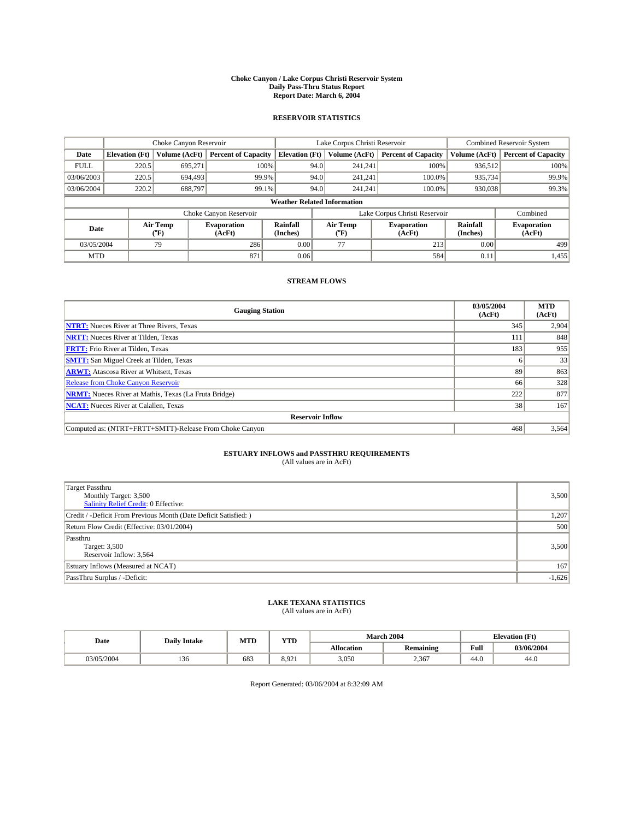#### **Choke Canyon / Lake Corpus Christi Reservoir System Daily Pass-Thru Status Report Report Date: March 6, 2004**

### **RESERVOIR STATISTICS**

|                                    | Choke Canyon Reservoir |                             |                              |                             | Lake Corpus Christi Reservoir |                  |                               |                      | Combined Reservoir System    |  |  |
|------------------------------------|------------------------|-----------------------------|------------------------------|-----------------------------|-------------------------------|------------------|-------------------------------|----------------------|------------------------------|--|--|
| Date                               | <b>Elevation</b> (Ft)  | Volume (AcFt)               | <b>Percent of Capacity</b>   | <b>Elevation</b> (Ft)       |                               | Volume (AcFt)    | <b>Percent of Capacity</b>    | Volume (AcFt)        | <b>Percent of Capacity</b>   |  |  |
| <b>FULL</b>                        | 220.5                  | 695,271                     | 100%                         |                             | 94.0                          | 241,241          | 100%                          | 936.512              | 100%                         |  |  |
| 03/06/2003                         | 220.5                  | 694,493                     | 99.9%                        |                             | 94.0                          | 241.241          | $100.0\%$                     | 935,734              | 99.9%                        |  |  |
| 03/06/2004                         | 220.2                  | 688,797                     | 99.1%                        |                             | 94.0                          | 241.241          | $100.0\%$                     | 930,038              | 99.3%                        |  |  |
| <b>Weather Related Information</b> |                        |                             |                              |                             |                               |                  |                               |                      |                              |  |  |
|                                    |                        |                             | Choke Canyon Reservoir       |                             |                               |                  | Lake Corpus Christi Reservoir |                      | Combined                     |  |  |
| Date                               |                        | Air Temp<br>${}^{\circ}$ F) | <b>Evaporation</b><br>(AcFt) | <b>Rainfall</b><br>(Inches) |                               | Air Temp<br>("F) | <b>Evaporation</b><br>(AcFt)  | Rainfall<br>(Inches) | <b>Evaporation</b><br>(AcFt) |  |  |
| 03/05/2004                         |                        | 79                          | 286                          | 0.00                        |                               | 77               | 213                           | 0.00                 | 499                          |  |  |
| <b>MTD</b>                         |                        |                             | 871                          | 0.06                        |                               |                  | 584                           | 0.11                 | 1,455                        |  |  |

## **STREAM FLOWS**

| <b>Gauging Station</b>                                       | 03/05/2004<br>(AcFt) | <b>MTD</b><br>(AcFt) |  |  |  |  |  |
|--------------------------------------------------------------|----------------------|----------------------|--|--|--|--|--|
| <b>NTRT:</b> Nueces River at Three Rivers, Texas             | 345                  | 2,904                |  |  |  |  |  |
| <b>NRTT:</b> Nueces River at Tilden, Texas                   | 111                  | 848                  |  |  |  |  |  |
| <b>FRTT:</b> Frio River at Tilden, Texas                     | 183                  | 955                  |  |  |  |  |  |
| <b>SMTT:</b> San Miguel Creek at Tilden, Texas               |                      | 33                   |  |  |  |  |  |
| <b>ARWT:</b> Atascosa River at Whitsett, Texas               | 89                   | 863                  |  |  |  |  |  |
| Release from Choke Canyon Reservoir                          | 66                   | 328                  |  |  |  |  |  |
| <b>NRMT:</b> Nueces River at Mathis, Texas (La Fruta Bridge) | 222                  | 877                  |  |  |  |  |  |
| <b>NCAT:</b> Nueces River at Calallen, Texas                 | 38                   | 167                  |  |  |  |  |  |
| <b>Reservoir Inflow</b>                                      |                      |                      |  |  |  |  |  |
| Computed as: (NTRT+FRTT+SMTT)-Release From Choke Canyon      | 468                  | 3,564                |  |  |  |  |  |

## **ESTUARY INFLOWS and PASSTHRU REQUIREMENTS**<br>(All values are in AcFt)

| <b>Target Passthru</b><br>Monthly Target: 3,500<br>Salinity Relief Credit: 0 Effective: | 3,500    |
|-----------------------------------------------------------------------------------------|----------|
| Credit / -Deficit From Previous Month (Date Deficit Satisfied: )                        | 1,207    |
| Return Flow Credit (Effective: 03/01/2004)                                              | 500      |
| Passthru<br>Target: 3,500<br>Reservoir Inflow: 3,564                                    | 3,500    |
| Estuary Inflows (Measured at NCAT)                                                      | 167      |
| PassThru Surplus / -Deficit:                                                            | $-1,626$ |

# **LAKE TEXANA STATISTICS** (All values are in AcFt)

| Date       | <b>Daily Intake</b> | MTD | <b>WTPD</b><br>1 I.D |                   | <b>March 2004</b> | <b>Elevation</b> (Ft) |            |
|------------|---------------------|-----|----------------------|-------------------|-------------------|-----------------------|------------|
|            |                     |     |                      | <b>Allocation</b> | <b>Remaining</b>  | Full                  | 03/06/2004 |
| 03/05/2004 | 1.50                | 683 | 8.921                | 3,050             | 2,367             | 44.U                  | 44.U       |

Report Generated: 03/06/2004 at 8:32:09 AM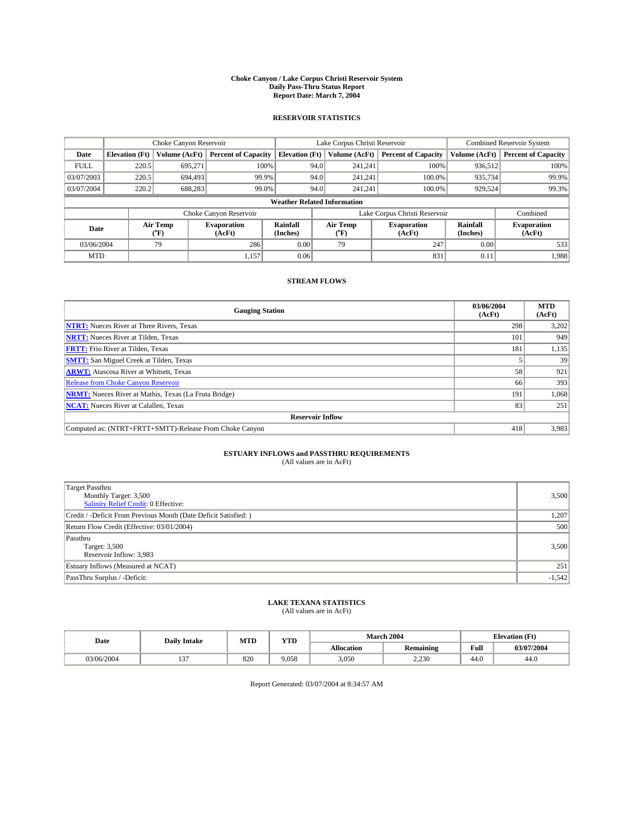#### **Choke Canyon / Lake Corpus Christi Reservoir System Daily Pass-Thru Status Report Report Date: March 7, 2004**

### **RESERVOIR STATISTICS**

|                                    | Choke Canyon Reservoir |                  |                              |                       | Lake Corpus Christi Reservoir |                  |                              |                      | Combined Reservoir System    |  |  |
|------------------------------------|------------------------|------------------|------------------------------|-----------------------|-------------------------------|------------------|------------------------------|----------------------|------------------------------|--|--|
| Date                               | <b>Elevation</b> (Ft)  | Volume (AcFt)    | <b>Percent of Capacity</b>   | <b>Elevation (Ft)</b> |                               | Volume (AcFt)    | <b>Percent of Capacity</b>   | Volume (AcFt)        | <b>Percent of Capacity</b>   |  |  |
| <b>FULL</b>                        | 220.5                  | 695,271          | 100%                         |                       | 94.0                          | 241,241          | 100%                         | 936.512              | 100%                         |  |  |
| 03/07/2003                         | 220.5                  | 694.493          | 99.9%                        |                       | 94.0                          | 241.241          | $100.0\%$                    | 935,734              | 99.9%                        |  |  |
| 03/07/2004                         | 220.2                  | 688,283          | 99.0%                        |                       | 94.0                          | 241,241          | $100.0\%$                    | 929,524              | 99.3%                        |  |  |
| <b>Weather Related Information</b> |                        |                  |                              |                       |                               |                  |                              |                      |                              |  |  |
|                                    |                        |                  | Choke Canyon Reservoir       |                       | Lake Corpus Christi Reservoir |                  |                              |                      | Combined                     |  |  |
| Date                               |                        | Air Temp<br>(°F) | <b>Evaporation</b><br>(AcFt) | Rainfall<br>(Inches)  |                               | Air Temp<br>("F) | <b>Evaporation</b><br>(AcFt) | Rainfall<br>(Inches) | <b>Evaporation</b><br>(AcFt) |  |  |
| 03/06/2004                         |                        | 79               | 286                          | 0.00                  |                               | 79               | 247                          | 0.00                 | 533                          |  |  |
| <b>MTD</b>                         |                        |                  | 1,157                        | 0.06                  |                               |                  | 831                          | 0.11                 | 1,988                        |  |  |

## **STREAM FLOWS**

| <b>Gauging Station</b>                                       | 03/06/2004<br>(AcFt) | <b>MTD</b><br>(AcFt) |  |  |  |  |
|--------------------------------------------------------------|----------------------|----------------------|--|--|--|--|
| <b>NTRT:</b> Nueces River at Three Rivers, Texas             | 298                  | 3,202                |  |  |  |  |
| <b>NRTT:</b> Nueces River at Tilden, Texas                   | 101                  | 949                  |  |  |  |  |
| <b>FRTT:</b> Frio River at Tilden, Texas                     | 181                  | 1,135                |  |  |  |  |
| <b>SMTT:</b> San Miguel Creek at Tilden, Texas               |                      | 39                   |  |  |  |  |
| <b>ARWT:</b> Atascosa River at Whitsett, Texas               | 58                   | 921                  |  |  |  |  |
| <b>Release from Choke Canyon Reservoir</b>                   | 66                   | 393                  |  |  |  |  |
| <b>NRMT:</b> Nueces River at Mathis, Texas (La Fruta Bridge) | 191                  | 1,068                |  |  |  |  |
| <b>NCAT:</b> Nueces River at Calallen, Texas                 | 83                   | 251                  |  |  |  |  |
| <b>Reservoir Inflow</b>                                      |                      |                      |  |  |  |  |
| Computed as: (NTRT+FRTT+SMTT)-Release From Choke Canyon      | 418                  | 3,983                |  |  |  |  |

## **ESTUARY INFLOWS and PASSTHRU REQUIREMENTS**<br>(All values are in AcFt)

| <b>Target Passthru</b><br>Monthly Target: 3,500<br>Salinity Relief Credit: 0 Effective: | 3,500    |
|-----------------------------------------------------------------------------------------|----------|
| Credit / -Deficit From Previous Month (Date Deficit Satisfied: )                        | 1,207    |
| Return Flow Credit (Effective: 03/01/2004)                                              | 500      |
| Passthru<br>Target: 3,500<br>Reservoir Inflow: 3,983                                    | 3,500    |
| Estuary Inflows (Measured at NCAT)                                                      | 251      |
| PassThru Surplus / -Deficit:                                                            | $-1,542$ |

# **LAKE TEXANA STATISTICS** (All values are in AcFt)

| Date       | <b>Daily Intake</b> | <b>MTD</b> | $\mathbf{v}$<br>1 I D |                   | <b>March 2004</b> | <b>Elevation</b> (Ft) |            |
|------------|---------------------|------------|-----------------------|-------------------|-------------------|-----------------------|------------|
|            |                     |            |                       | <b>Allocation</b> | <b>Remaining</b>  | Full                  | 03/07/2004 |
| 03/06/2004 | $\sim$<br>، ب ۱     | 820        | 9.058                 | 3,050             | 2,230             | 44 O<br>44.U          | 44.0       |

Report Generated: 03/07/2004 at 8:34:57 AM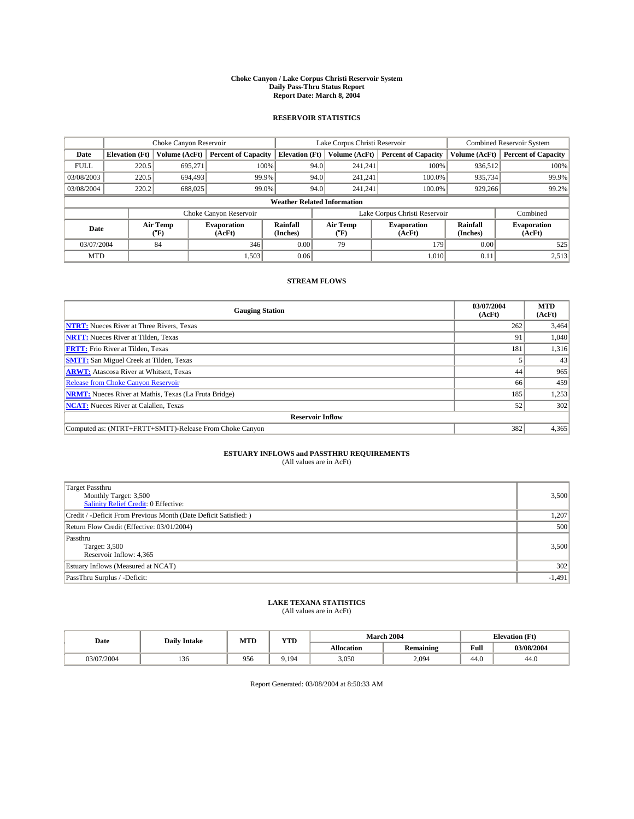#### **Choke Canyon / Lake Corpus Christi Reservoir System Daily Pass-Thru Status Report Report Date: March 8, 2004**

### **RESERVOIR STATISTICS**

|                                    | Choke Canyon Reservoir |                  |                              |                       | Lake Corpus Christi Reservoir |                  |                              |                      | <b>Combined Reservoir System</b> |  |  |
|------------------------------------|------------------------|------------------|------------------------------|-----------------------|-------------------------------|------------------|------------------------------|----------------------|----------------------------------|--|--|
| Date                               | <b>Elevation</b> (Ft)  | Volume (AcFt)    | <b>Percent of Capacity</b>   | <b>Elevation (Ft)</b> |                               | Volume (AcFt)    | <b>Percent of Capacity</b>   | Volume (AcFt)        | <b>Percent of Capacity</b>       |  |  |
| <b>FULL</b>                        | 220.5                  | 695,271          |                              | 100%                  | 94.0                          | 241,241          | 100%                         | 936.512              | 100%                             |  |  |
| 03/08/2003                         | 220.5                  | 694.493          | 99.9%                        |                       | 94.0                          | 241.241          | $100.0\%$                    | 935,734              | 99.9%                            |  |  |
| 03/08/2004                         | 220.2                  | 688,025          | 99.0%                        |                       | 94.0                          | 241.241          | $100.0\%$                    | 929,266              | 99.2%                            |  |  |
| <b>Weather Related Information</b> |                        |                  |                              |                       |                               |                  |                              |                      |                                  |  |  |
|                                    |                        |                  | Choke Canyon Reservoir       |                       | Lake Corpus Christi Reservoir |                  |                              |                      | Combined                         |  |  |
| Date                               |                        | Air Temp<br>(°F) | <b>Evaporation</b><br>(AcFt) | Rainfall<br>(Inches)  |                               | Air Temp<br>("F) | <b>Evaporation</b><br>(AcFt) | Rainfall<br>(Inches) | <b>Evaporation</b><br>(AcFt)     |  |  |
| 03/07/2004                         |                        | 84               | 346                          | 0.00                  |                               | 79               | 179                          | 0.00                 | 525                              |  |  |
| <b>MTD</b>                         |                        |                  | 1,503                        | 0.06                  |                               |                  | 1,010                        | 0.11                 | 2,513                            |  |  |

## **STREAM FLOWS**

| <b>Gauging Station</b>                                       | 03/07/2004<br>(AcFt) | <b>MTD</b><br>(AcFt) |  |  |  |  |
|--------------------------------------------------------------|----------------------|----------------------|--|--|--|--|
| <b>NTRT:</b> Nueces River at Three Rivers, Texas             | 262                  | 3,464                |  |  |  |  |
| <b>NRTT:</b> Nueces River at Tilden, Texas                   | 91                   | 1,040                |  |  |  |  |
| <b>FRTT:</b> Frio River at Tilden, Texas                     | 181                  | 1,316                |  |  |  |  |
| <b>SMTT:</b> San Miguel Creek at Tilden, Texas               |                      | 43                   |  |  |  |  |
| <b>ARWT:</b> Atascosa River at Whitsett, Texas               | 44                   | 965                  |  |  |  |  |
| <b>Release from Choke Canyon Reservoir</b>                   | 66                   | 459                  |  |  |  |  |
| <b>NRMT:</b> Nueces River at Mathis, Texas (La Fruta Bridge) | 185                  | 1,253                |  |  |  |  |
| <b>NCAT:</b> Nueces River at Calallen, Texas                 | 52                   | 302                  |  |  |  |  |
| <b>Reservoir Inflow</b>                                      |                      |                      |  |  |  |  |
| Computed as: (NTRT+FRTT+SMTT)-Release From Choke Canyon      | 382                  | 4,365                |  |  |  |  |

## **ESTUARY INFLOWS and PASSTHRU REQUIREMENTS**<br>(All values are in AcFt)

| Target Passthru<br>Monthly Target: 3,500<br>Salinity Relief Credit: 0 Effective: | 3,500    |
|----------------------------------------------------------------------------------|----------|
| Credit / -Deficit From Previous Month (Date Deficit Satisfied: )                 | 1,207    |
| Return Flow Credit (Effective: 03/01/2004)                                       | 500      |
| Passthru<br>Target: 3,500<br>Reservoir Inflow: 4,365                             | 3,500    |
| Estuary Inflows (Measured at NCAT)                                               | 302      |
| PassThru Surplus / -Deficit:                                                     | $-1,491$ |

# **LAKE TEXANA STATISTICS** (All values are in AcFt)

| Date      | <b>Daily Intake</b> | MTL | $\mathbf{v}$<br>1 I D |                   | March 2004       | <b>Elevation</b> (Ft)   |            |
|-----------|---------------------|-----|-----------------------|-------------------|------------------|-------------------------|------------|
|           |                     |     |                       | <b>Allocation</b> | <b>Remaining</b> | Full                    | 03/08/2004 |
| 3/07/2004 | $\sim$<br>136       | 956 | 9.194                 | 3,050             | 2,094            | $\overline{AB}$<br>44.U | 44.0       |

Report Generated: 03/08/2004 at 8:50:33 AM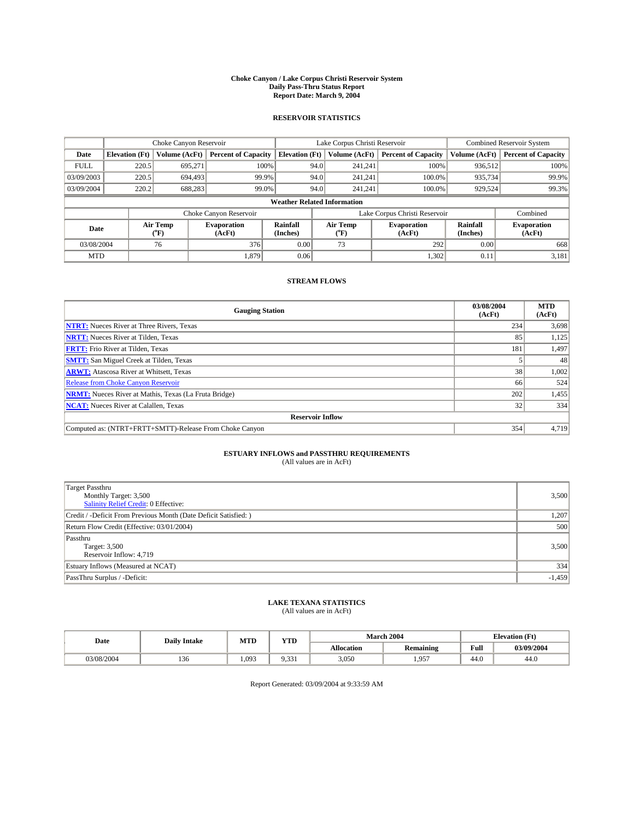#### **Choke Canyon / Lake Corpus Christi Reservoir System Daily Pass-Thru Status Report Report Date: March 9, 2004**

### **RESERVOIR STATISTICS**

|                                    | Choke Canyon Reservoir |                             |                              |                             | Lake Corpus Christi Reservoir |                  |                              |                             | Combined Reservoir System    |  |  |
|------------------------------------|------------------------|-----------------------------|------------------------------|-----------------------------|-------------------------------|------------------|------------------------------|-----------------------------|------------------------------|--|--|
| Date                               | <b>Elevation</b> (Ft)  | Volume (AcFt)               | <b>Percent of Capacity</b>   | <b>Elevation</b> (Ft)       |                               | Volume (AcFt)    | <b>Percent of Capacity</b>   | Volume (AcFt)               | <b>Percent of Capacity</b>   |  |  |
| <b>FULL</b>                        | 220.5                  | 695,271                     |                              | 100%                        | 94.0                          | 241,241          | 100%                         | 936.512                     | 100%                         |  |  |
| 03/09/2003                         | 220.5                  | 694,493                     | 99.9%                        |                             | 94.0                          | 241.241          | $100.0\%$                    | 935,734                     | 99.9%                        |  |  |
| 03/09/2004                         | 220.2                  | 688,283                     | 99.0%                        |                             | 94.0                          | 241.241          | $100.0\%$                    | 929,524                     | 99.3%                        |  |  |
| <b>Weather Related Information</b> |                        |                             |                              |                             |                               |                  |                              |                             |                              |  |  |
|                                    |                        |                             | Choke Canyon Reservoir       |                             | Lake Corpus Christi Reservoir |                  |                              |                             | Combined                     |  |  |
| Date                               |                        | Air Temp<br>${}^{\circ}$ F) | <b>Evaporation</b><br>(AcFt) | <b>Rainfall</b><br>(Inches) |                               | Air Temp<br>("F) | <b>Evaporation</b><br>(AcFt) | <b>Rainfall</b><br>(Inches) | <b>Evaporation</b><br>(AcFt) |  |  |
| 03/08/2004                         |                        | 76                          | 376                          | 0.00                        |                               | 73               | 292                          | 0.00                        | 668                          |  |  |
| <b>MTD</b>                         |                        |                             | 1,879                        | 0.06                        |                               |                  | 1,302                        | 0.11                        | 3,181                        |  |  |

## **STREAM FLOWS**

| <b>Gauging Station</b>                                       | 03/08/2004<br>(AcFt) | <b>MTD</b><br>(AcFt) |  |  |  |  |
|--------------------------------------------------------------|----------------------|----------------------|--|--|--|--|
| <b>NTRT:</b> Nueces River at Three Rivers, Texas             | 234                  | 3,698                |  |  |  |  |
| <b>NRTT:</b> Nueces River at Tilden, Texas                   | 85                   | 1,125                |  |  |  |  |
| <b>FRTT:</b> Frio River at Tilden, Texas                     | 181                  | 1,497                |  |  |  |  |
| <b>SMTT:</b> San Miguel Creek at Tilden, Texas               |                      | 48                   |  |  |  |  |
| <b>ARWT:</b> Atascosa River at Whitsett, Texas               | 38                   | 1,002                |  |  |  |  |
| Release from Choke Canyon Reservoir                          | 66                   | 524                  |  |  |  |  |
| <b>NRMT:</b> Nueces River at Mathis, Texas (La Fruta Bridge) | 202                  | 1,455                |  |  |  |  |
| <b>NCAT:</b> Nueces River at Calallen, Texas                 | 32                   | 334                  |  |  |  |  |
| <b>Reservoir Inflow</b>                                      |                      |                      |  |  |  |  |
| Computed as: (NTRT+FRTT+SMTT)-Release From Choke Canyon      | 354                  | 4,719                |  |  |  |  |

## **ESTUARY INFLOWS and PASSTHRU REQUIREMENTS**<br>(All values are in AcFt)

| <b>Target Passthru</b><br>Monthly Target: 3,500<br>Salinity Relief Credit: 0 Effective: | 3,500    |
|-----------------------------------------------------------------------------------------|----------|
| Credit / -Deficit From Previous Month (Date Deficit Satisfied: )                        | 1,207    |
| Return Flow Credit (Effective: 03/01/2004)                                              | 500      |
| Passthru<br>Target: 3,500<br>Reservoir Inflow: 4,719                                    | 3,500    |
| Estuary Inflows (Measured at NCAT)                                                      | 334      |
| PassThru Surplus / -Deficit:                                                            | $-1,459$ |

# **LAKE TEXANA STATISTICS** (All values are in AcFt)

| Date       | <b>Daily Intake</b> | <b>MTD</b> | <b>VTD</b><br>1 I D             |                   | <b>March 2004</b> | <b>Elevation</b> (Ft) |            |  |
|------------|---------------------|------------|---------------------------------|-------------------|-------------------|-----------------------|------------|--|
|            |                     |            |                                 | <b>Allocation</b> | <b>Remaining</b>  | Full                  | 03/09/2004 |  |
| 03/08/2004 | $\sim$<br>136       | .093       | 0.221<br>$\sim$ $\sim$<br>، د ب | 3,050             | $1,95^{7}$        | 44.0                  | 44.0       |  |

Report Generated: 03/09/2004 at 9:33:59 AM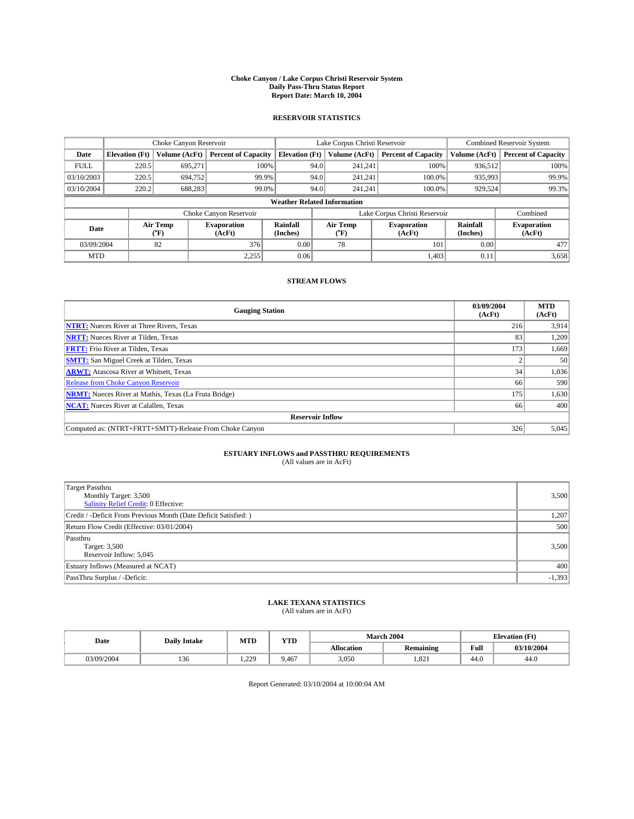#### **Choke Canyon / Lake Corpus Christi Reservoir System Daily Pass-Thru Status Report Report Date: March 10, 2004**

### **RESERVOIR STATISTICS**

|                                    | Choke Canyon Reservoir                                              |                             |                              |                             | Lake Corpus Christi Reservoir |                  |                              |                      | Combined Reservoir System    |  |  |
|------------------------------------|---------------------------------------------------------------------|-----------------------------|------------------------------|-----------------------------|-------------------------------|------------------|------------------------------|----------------------|------------------------------|--|--|
| Date                               | <b>Elevation</b> (Ft)                                               | Volume (AcFt)               | <b>Percent of Capacity</b>   | <b>Elevation</b> (Ft)       |                               | Volume (AcFt)    | <b>Percent of Capacity</b>   | Volume (AcFt)        | <b>Percent of Capacity</b>   |  |  |
| <b>FULL</b>                        | 220.5                                                               | 695,271                     | 100%                         |                             | 94.0                          | 241,241          | 100%                         | 936.512              | 100%                         |  |  |
| 03/10/2003                         | 220.5                                                               | 694,752                     | 99.9%                        |                             | 94.0                          | 241.241          | $100.0\%$                    | 935,993              | 99.9%                        |  |  |
| 03/10/2004                         | 220.2                                                               | 688,283                     | 99.0%                        |                             | 94.0                          | 241.241          | $100.0\%$                    | 929,524              | 99.3%                        |  |  |
| <b>Weather Related Information</b> |                                                                     |                             |                              |                             |                               |                  |                              |                      |                              |  |  |
|                                    | Lake Corpus Christi Reservoir<br>Choke Canyon Reservoir<br>Combined |                             |                              |                             |                               |                  |                              |                      |                              |  |  |
| Date                               |                                                                     | Air Temp<br>${}^{\circ}$ F) | <b>Evaporation</b><br>(AcFt) | <b>Rainfall</b><br>(Inches) |                               | Air Temp<br>("F) | <b>Evaporation</b><br>(AcFt) | Rainfall<br>(Inches) | <b>Evaporation</b><br>(AcFt) |  |  |
| 03/09/2004                         |                                                                     | 82                          | 376                          | 0.00                        |                               | 78               | 101                          | 0.00                 | 477                          |  |  |
| <b>MTD</b>                         |                                                                     |                             | 2,255                        | 0.06                        |                               |                  | 1,403                        | 0.11                 | 3,658                        |  |  |

## **STREAM FLOWS**

| <b>Gauging Station</b>                                       | 03/09/2004<br>(AcFt) | <b>MTD</b><br>(AcFt) |
|--------------------------------------------------------------|----------------------|----------------------|
| <b>NTRT:</b> Nueces River at Three Rivers, Texas             | 216                  | 3,914                |
| <b>NRTT:</b> Nueces River at Tilden, Texas                   | 83                   | 1.209                |
| <b>FRTT:</b> Frio River at Tilden, Texas                     | 173                  | 1,669                |
| <b>SMTT:</b> San Miguel Creek at Tilden, Texas               |                      | 50 <sup>1</sup>      |
| <b>ARWT:</b> Atascosa River at Whitsett, Texas               | 34 <sup>1</sup>      | 1,036                |
| Release from Choke Canyon Reservoir                          | 66                   | 590                  |
| <b>NRMT:</b> Nueces River at Mathis, Texas (La Fruta Bridge) | 175                  | 1,630                |
| <b>NCAT:</b> Nueces River at Calallen, Texas                 | 66                   | 400                  |
| <b>Reservoir Inflow</b>                                      |                      |                      |
| Computed as: (NTRT+FRTT+SMTT)-Release From Choke Canyon      | 326                  | 5,045                |

## **ESTUARY INFLOWS and PASSTHRU REQUIREMENTS**<br>(All values are in AcFt)

| <b>Target Passthru</b><br>Monthly Target: 3,500<br>Salinity Relief Credit: 0 Effective: | 3,500    |
|-----------------------------------------------------------------------------------------|----------|
| Credit / -Deficit From Previous Month (Date Deficit Satisfied: )                        | 1,207    |
| Return Flow Credit (Effective: 03/01/2004)                                              | 500      |
| Passthru<br>Target: 3,500<br>Reservoir Inflow: 5,045                                    | 3,500    |
| Estuary Inflows (Measured at NCAT)                                                      | 400      |
| PassThru Surplus / -Deficit:                                                            | $-1,393$ |

# **LAKE TEXANA STATISTICS** (All values are in AcFt)

| Date       | <b>Daily Intake</b> | <b>MTD</b>   | <b>VTD</b><br>1 I D |                   | <b>March 2004</b> | <b>Elevation</b> (Ft) |            |
|------------|---------------------|--------------|---------------------|-------------------|-------------------|-----------------------|------------|
|            |                     |              |                     | <b>Allocation</b> | <b>Remaining</b>  | Full                  | 03/10/2004 |
| 03/09/2004 | $\sim$<br>136       | 220<br>$-44$ | 9.467               | 3,050             | 1,821             | 44.0                  | 44.0       |

Report Generated: 03/10/2004 at 10:00:04 AM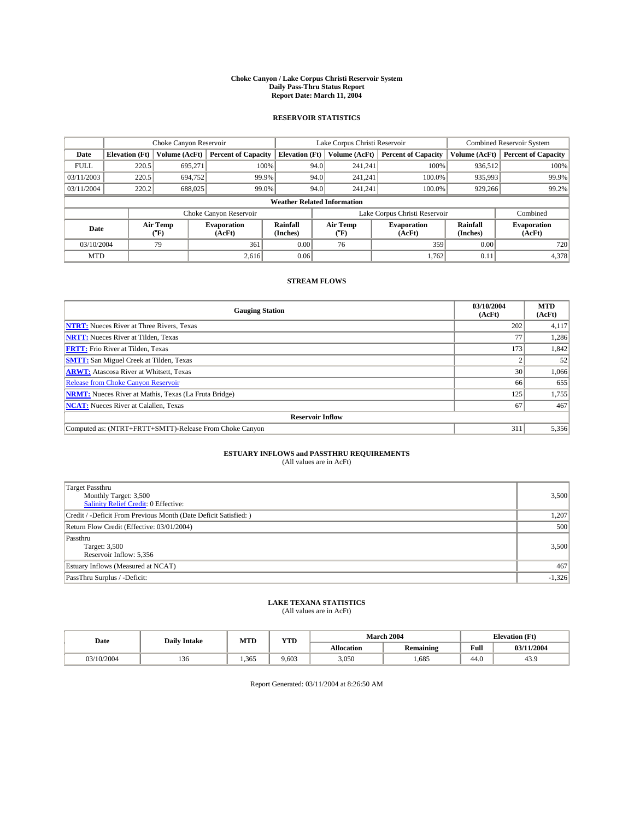#### **Choke Canyon / Lake Corpus Christi Reservoir System Daily Pass-Thru Status Report Report Date: March 11, 2004**

### **RESERVOIR STATISTICS**

|                                    | Choke Canyon Reservoir                                              |                             |                              |                             | Lake Corpus Christi Reservoir |                  |                              |                             | Combined Reservoir System    |  |  |
|------------------------------------|---------------------------------------------------------------------|-----------------------------|------------------------------|-----------------------------|-------------------------------|------------------|------------------------------|-----------------------------|------------------------------|--|--|
| Date                               | <b>Elevation</b> (Ft)                                               | Volume (AcFt)               | <b>Percent of Capacity</b>   | <b>Elevation</b> (Ft)       |                               | Volume (AcFt)    | <b>Percent of Capacity</b>   | Volume (AcFt)               | <b>Percent of Capacity</b>   |  |  |
| <b>FULL</b>                        | 220.5                                                               | 695,271                     | 100%                         |                             | 94.0                          | 241,241          | 100%                         | 936.512                     | 100%                         |  |  |
| 03/11/2003                         | 220.5                                                               | 694,752                     | 99.9%                        |                             | 94.0                          | 241.241          | $100.0\%$                    | 935,993                     | 99.9%                        |  |  |
| 03/11/2004                         | 220.2                                                               | 688,025                     | 99.0%                        |                             | 94.0                          | 241.241          | $100.0\%$                    | 929,266                     | 99.2%                        |  |  |
| <b>Weather Related Information</b> |                                                                     |                             |                              |                             |                               |                  |                              |                             |                              |  |  |
|                                    | Lake Corpus Christi Reservoir<br>Choke Canyon Reservoir<br>Combined |                             |                              |                             |                               |                  |                              |                             |                              |  |  |
| Date                               |                                                                     | Air Temp<br>${}^{\circ}$ F) | <b>Evaporation</b><br>(AcFt) | <b>Rainfall</b><br>(Inches) |                               | Air Temp<br>("F) | <b>Evaporation</b><br>(AcFt) | <b>Rainfall</b><br>(Inches) | <b>Evaporation</b><br>(AcFt) |  |  |
| 03/10/2004                         |                                                                     | 79                          | 361                          | 0.00                        |                               | 76               | 359                          | 0.00                        | 720                          |  |  |
| <b>MTD</b>                         |                                                                     |                             | 2,616                        | 0.06                        |                               |                  | 1,762                        | 0.11                        | 4,378                        |  |  |

## **STREAM FLOWS**

| <b>Gauging Station</b>                                       | 03/10/2004<br>(AcFt) | <b>MTD</b><br>(AcFt) |
|--------------------------------------------------------------|----------------------|----------------------|
| <b>NTRT:</b> Nueces River at Three Rivers, Texas             | 202                  | 4,117                |
| <b>NRTT:</b> Nueces River at Tilden, Texas                   |                      | 1,286                |
| <b>FRTT:</b> Frio River at Tilden, Texas                     | 173                  | 1,842                |
| <b>SMTT:</b> San Miguel Creek at Tilden, Texas               |                      | 52                   |
| <b>ARWT:</b> Atascosa River at Whitsett, Texas               | 30                   | 1,066                |
| Release from Choke Canyon Reservoir                          | 66                   | 655                  |
| <b>NRMT:</b> Nueces River at Mathis, Texas (La Fruta Bridge) | 125                  | 1,755                |
| <b>NCAT:</b> Nueces River at Calallen, Texas                 | 67                   | 467                  |
| <b>Reservoir Inflow</b>                                      |                      |                      |
| Computed as: (NTRT+FRTT+SMTT)-Release From Choke Canyon      | 311                  | 5,356                |

## **ESTUARY INFLOWS and PASSTHRU REQUIREMENTS**<br>(All values are in AcFt)

| <b>Target Passthru</b><br>Monthly Target: 3,500<br>Salinity Relief Credit: 0 Effective: | 3,500    |
|-----------------------------------------------------------------------------------------|----------|
| Credit / -Deficit From Previous Month (Date Deficit Satisfied: )                        | 1,207    |
| Return Flow Credit (Effective: 03/01/2004)                                              | 500      |
| Passthru<br>Target: 3,500<br>Reservoir Inflow: 5,356                                    | 3,500    |
| Estuary Inflows (Measured at NCAT)                                                      | 467      |
| PassThru Surplus / -Deficit:                                                            | $-1,326$ |

# **LAKE TEXANA STATISTICS** (All values are in AcFt)

| Date       | <b>Daily Intake</b> | <b>MTD</b> | <b>TIME</b><br>1 I D |                   | <b>March 2004</b> | <b>Elevation</b> (Ft) |            |  |
|------------|---------------------|------------|----------------------|-------------------|-------------------|-----------------------|------------|--|
|            |                     |            |                      | <b>Allocation</b> | <b>Remaining</b>  | Full                  | 03/11/2004 |  |
| 03/10/2004 | $\sim$<br>150       | .365       | 9.603                | 3,050             | 1,685             | 44.0                  | 43.9       |  |

Report Generated: 03/11/2004 at 8:26:50 AM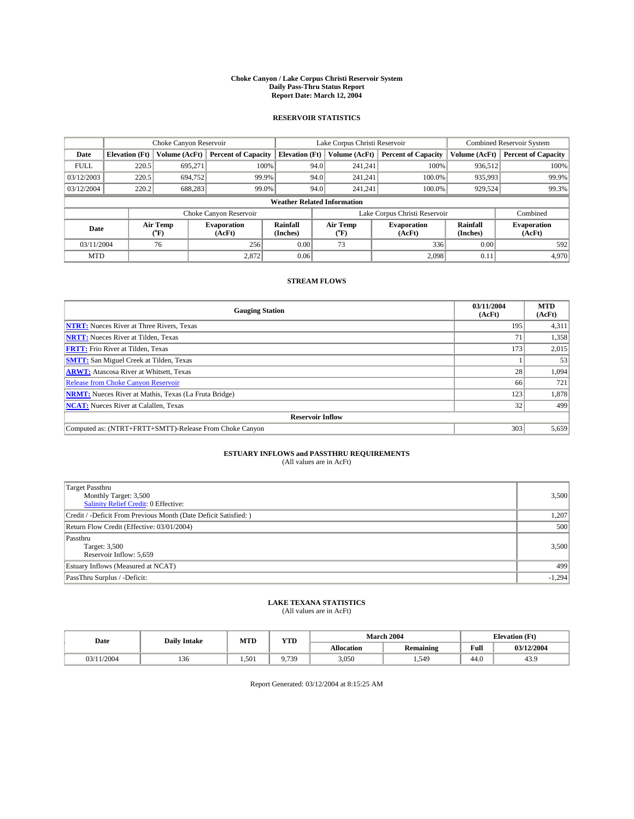#### **Choke Canyon / Lake Corpus Christi Reservoir System Daily Pass-Thru Status Report Report Date: March 12, 2004**

### **RESERVOIR STATISTICS**

|                                    | Choke Canyon Reservoir                                              |                             |                              |                             | Lake Corpus Christi Reservoir |                  |                              |                             | Combined Reservoir System    |  |  |
|------------------------------------|---------------------------------------------------------------------|-----------------------------|------------------------------|-----------------------------|-------------------------------|------------------|------------------------------|-----------------------------|------------------------------|--|--|
| Date                               | <b>Elevation</b> (Ft)                                               | Volume (AcFt)               | <b>Percent of Capacity</b>   | <b>Elevation</b> (Ft)       |                               | Volume (AcFt)    | <b>Percent of Capacity</b>   | Volume (AcFt)               | <b>Percent of Capacity</b>   |  |  |
| <b>FULL</b>                        | 220.5                                                               | 695,271                     | 100%                         |                             | 94.0                          | 241,241          | 100%                         | 936.512                     | 100%                         |  |  |
| 03/12/2003                         | 220.5                                                               | 694,752                     | 99.9%                        |                             | 94.0                          | 241.241          | $100.0\%$                    | 935,993                     | 99.9%                        |  |  |
| 03/12/2004                         | 220.2                                                               | 688,283                     | 99.0%                        |                             | 94.0                          | 241.241          | $100.0\%$                    | 929,524                     | 99.3%                        |  |  |
| <b>Weather Related Information</b> |                                                                     |                             |                              |                             |                               |                  |                              |                             |                              |  |  |
|                                    | Lake Corpus Christi Reservoir<br>Choke Canyon Reservoir<br>Combined |                             |                              |                             |                               |                  |                              |                             |                              |  |  |
| Date                               |                                                                     | Air Temp<br>${}^{\circ}$ F) | <b>Evaporation</b><br>(AcFt) | <b>Rainfall</b><br>(Inches) |                               | Air Temp<br>("F) | <b>Evaporation</b><br>(AcFt) | <b>Rainfall</b><br>(Inches) | <b>Evaporation</b><br>(AcFt) |  |  |
| 03/11/2004                         |                                                                     | 76                          | 256                          | 0.00                        |                               | 73               | 336                          | 0.00                        | 592                          |  |  |
| <b>MTD</b>                         |                                                                     |                             | 2,872                        | 0.06                        |                               |                  | 2,098                        | 0.11                        | 4,970                        |  |  |

## **STREAM FLOWS**

| <b>Gauging Station</b>                                       | 03/11/2004<br>(AcFt) | <b>MTD</b><br>(AcFt) |
|--------------------------------------------------------------|----------------------|----------------------|
| <b>NTRT:</b> Nueces River at Three Rivers, Texas             | 195                  | 4,311                |
| <b>NRTT:</b> Nueces River at Tilden, Texas                   | 71                   | 1,358                |
| <b>FRTT:</b> Frio River at Tilden, Texas                     | 173                  | 2,015                |
| <b>SMTT:</b> San Miguel Creek at Tilden, Texas               |                      | 53                   |
| <b>ARWT:</b> Atascosa River at Whitsett, Texas               | 28 <sub>1</sub>      | 1,094                |
| <b>Release from Choke Canyon Reservoir</b>                   | 66                   | 721                  |
| <b>NRMT:</b> Nueces River at Mathis, Texas (La Fruta Bridge) | 123                  | 1,878                |
| <b>NCAT:</b> Nueces River at Calallen, Texas                 | 32                   | 499                  |
| <b>Reservoir Inflow</b>                                      |                      |                      |
| Computed as: (NTRT+FRTT+SMTT)-Release From Choke Canyon      | 303                  | 5,659                |

## **ESTUARY INFLOWS and PASSTHRU REQUIREMENTS**<br>(All values are in AcFt)

| <b>Target Passthru</b><br>Monthly Target: 3,500<br>Salinity Relief Credit: 0 Effective: | 3,500    |
|-----------------------------------------------------------------------------------------|----------|
| Credit / -Deficit From Previous Month (Date Deficit Satisfied: )                        | 1,207    |
| Return Flow Credit (Effective: 03/01/2004)                                              | 500      |
| Passthru<br>Target: 3,500<br>Reservoir Inflow: 5,659                                    | 3,500    |
| Estuary Inflows (Measured at NCAT)                                                      | 499      |
| PassThru Surplus / -Deficit:                                                            | $-1,294$ |

# **LAKE TEXANA STATISTICS** (All values are in AcFt)

| Date   | <b>Daily Intake</b> | <b>MTD</b> | <b>YTD</b> | <b>March 2004</b> | <b>Elevation</b> (Ft) |      |            |
|--------|---------------------|------------|------------|-------------------|-----------------------|------|------------|
|        |                     |            |            | <b>Allocation</b> | Remaining             | Full | 03/12/2004 |
| 1/2004 | 130                 | 1,501      | 9.739      | 3,050             | 1,549                 | 44.0 | 43.9       |

Report Generated: 03/12/2004 at 8:15:25 AM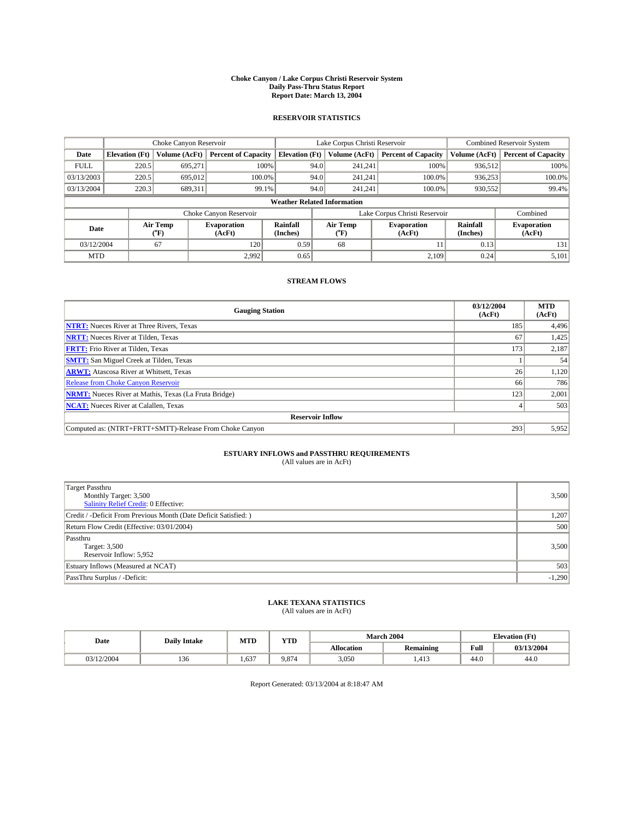#### **Choke Canyon / Lake Corpus Christi Reservoir System Daily Pass-Thru Status Report Report Date: March 13, 2004**

### **RESERVOIR STATISTICS**

|                                    |                       |                          | Lake Corpus Christi Reservoir |                       |      |                  | <b>Combined Reservoir System</b> |                      |                              |
|------------------------------------|-----------------------|--------------------------|-------------------------------|-----------------------|------|------------------|----------------------------------|----------------------|------------------------------|
| Date                               | <b>Elevation</b> (Ft) | Volume (AcFt)            | <b>Percent of Capacity</b>    | <b>Elevation</b> (Ft) |      | Volume (AcFt)    | <b>Percent of Capacity</b>       | Volume (AcFt)        | <b>Percent of Capacity</b>   |
| <b>FULL</b>                        | 220.5                 | 695.271                  |                               | 100%                  | 94.0 | 241,241          | 100%                             | 936,512              | 100%                         |
| 03/13/2003                         | 220.5                 | 695,012                  | 100.0%                        |                       | 94.0 | 241.241          | 100.0%                           | 936.253              | 100.0%                       |
| 03/13/2004                         | 220.3                 | 689,311                  | 99.1%                         |                       | 94.0 | 241,241          | 100.0%                           | 930,552              | 99.4%                        |
| <b>Weather Related Information</b> |                       |                          |                               |                       |      |                  |                                  |                      |                              |
|                                    |                       |                          | Choke Canyon Reservoir        |                       |      |                  | Lake Corpus Christi Reservoir    |                      | Combined                     |
| Date                               |                       | Air Temp<br>$\rm ^{6}F)$ | <b>Evaporation</b><br>(AcFt)  | Rainfall<br>(Inches)  |      | Air Temp<br>("F) | <b>Evaporation</b><br>(AcFt)     | Rainfall<br>(Inches) | <b>Evaporation</b><br>(AcFt) |
| 03/12/2004                         |                       | 67                       | 120                           | 0.59                  |      | 68               |                                  | 0.13                 | 131                          |
| <b>MTD</b>                         |                       |                          | 2.992                         | 0.65                  |      |                  | 2.109                            | 0.24                 | 5,101                        |

## **STREAM FLOWS**

| <b>Gauging Station</b>                                       | 03/12/2004<br>(AcFt) | <b>MTD</b><br>(AcFt) |
|--------------------------------------------------------------|----------------------|----------------------|
| <b>NTRT:</b> Nueces River at Three Rivers, Texas             | 185                  | 4,496                |
| <b>NRTT:</b> Nueces River at Tilden, Texas                   | 67                   | 1,425                |
| <b>FRTT:</b> Frio River at Tilden, Texas                     | 173                  | 2,187                |
| <b>SMTT:</b> San Miguel Creek at Tilden, Texas               |                      | 54                   |
| <b>ARWT:</b> Atascosa River at Whitsett, Texas               | 26                   | 1,120                |
| <b>Release from Choke Canyon Reservoir</b>                   | 66                   | 786                  |
| <b>NRMT:</b> Nueces River at Mathis, Texas (La Fruta Bridge) | 123                  | 2,001                |
| <b>NCAT:</b> Nueces River at Calallen, Texas                 |                      | 503                  |
| <b>Reservoir Inflow</b>                                      |                      |                      |
| Computed as: (NTRT+FRTT+SMTT)-Release From Choke Canyon      | 293                  | 5,952                |

## **ESTUARY INFLOWS and PASSTHRU REQUIREMENTS**<br>(All values are in AcFt)

| Target Passthru<br>Monthly Target: 3,500<br>Salinity Relief Credit: 0 Effective: | 3,500    |
|----------------------------------------------------------------------------------|----------|
| Credit / -Deficit From Previous Month (Date Deficit Satisfied: )                 | 1,207    |
| Return Flow Credit (Effective: 03/01/2004)                                       | 500      |
| Passthru<br>Target: 3,500<br>Reservoir Inflow: 5,952                             | 3,500    |
| Estuary Inflows (Measured at NCAT)                                               | 503      |
| PassThru Surplus / -Deficit:                                                     | $-1,290$ |

# **LAKE TEXANA STATISTICS** (All values are in AcFt)

| Date     | <b>Daily Intake</b> | MTL  | $\mathbf{v}$<br>1 I D |                   | <b>March 2004</b> | <b>Elevation</b> (Ft) |            |
|----------|---------------------|------|-----------------------|-------------------|-------------------|-----------------------|------------|
|          |                     |      |                       | <b>Allocation</b> | <b>Remaining</b>  | Full                  | 03/13/2004 |
| /12/2004 | 10<<br>136          | .637 | 9.874                 | 3,050             | 412<br>1,413      | $AA$ $\Omega$<br>44.U | 44.0       |

Report Generated: 03/13/2004 at 8:18:47 AM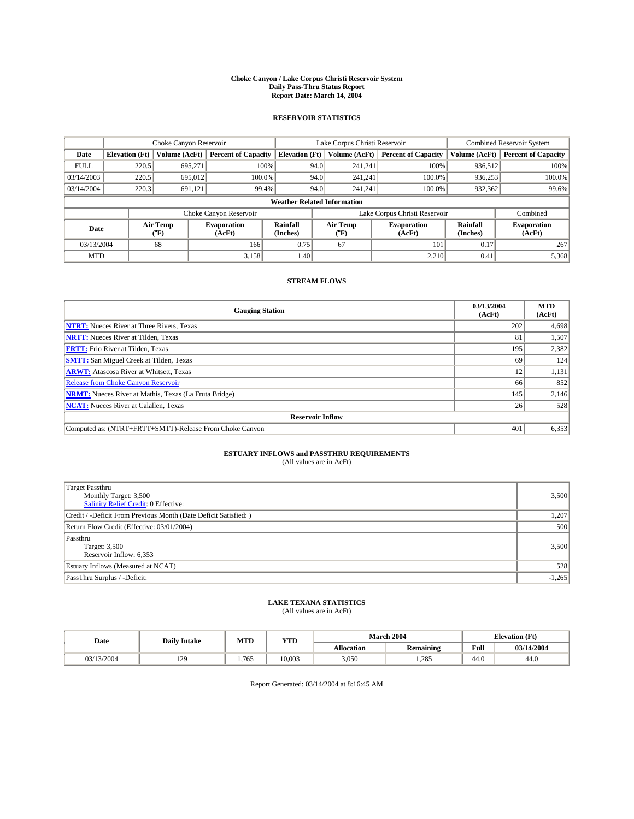#### **Choke Canyon / Lake Corpus Christi Reservoir System Daily Pass-Thru Status Report Report Date: March 14, 2004**

### **RESERVOIR STATISTICS**

|                                    | Choke Canyon Reservoir |                             | Lake Corpus Christi Reservoir |                             |      |                  | <b>Combined Reservoir System</b> |                             |                              |
|------------------------------------|------------------------|-----------------------------|-------------------------------|-----------------------------|------|------------------|----------------------------------|-----------------------------|------------------------------|
| Date                               | <b>Elevation</b> (Ft)  | Volume (AcFt)               | <b>Percent of Capacity</b>    | <b>Elevation</b> (Ft)       |      | Volume (AcFt)    | <b>Percent of Capacity</b>       | Volume (AcFt)               | <b>Percent of Capacity</b>   |
| <b>FULL</b>                        | 220.5                  | 695,271                     |                               | 100%                        | 94.0 | 241,241          | 100%                             | 936.512                     | 100%                         |
| 03/14/2003                         | 220.5                  | 695,012                     | $100.0\%$                     |                             | 94.0 | 241.241          | $100.0\%$                        | 936,253                     | 100.0%                       |
| 03/14/2004                         | 220.3                  | 691,121                     | 99.4%                         |                             | 94.0 | 241.241          | $100.0\%$                        | 932,362                     | 99.6%                        |
| <b>Weather Related Information</b> |                        |                             |                               |                             |      |                  |                                  |                             |                              |
|                                    |                        |                             | Choke Canyon Reservoir        |                             |      |                  | Lake Corpus Christi Reservoir    |                             | Combined                     |
| Date                               |                        | Air Temp<br>${}^{\circ}$ F) | <b>Evaporation</b><br>(AcFt)  | <b>Rainfall</b><br>(Inches) |      | Air Temp<br>("F) | <b>Evaporation</b><br>(AcFt)     | <b>Rainfall</b><br>(Inches) | <b>Evaporation</b><br>(AcFt) |
| 03/13/2004                         |                        | 68                          | 166                           | 0.75                        |      | 67               | 101                              | 0.17                        | 267                          |
| <b>MTD</b>                         |                        |                             | 3,158                         | 1.40                        |      |                  | 2,210                            | 0.41                        | 5,368                        |

## **STREAM FLOWS**

| <b>Gauging Station</b>                                       | 03/13/2004<br>(AcFt) | <b>MTD</b><br>(AcFt) |  |  |  |  |  |
|--------------------------------------------------------------|----------------------|----------------------|--|--|--|--|--|
| <b>NTRT:</b> Nueces River at Three Rivers, Texas             | 202                  | 4,698                |  |  |  |  |  |
| <b>NRTT:</b> Nueces River at Tilden, Texas                   | 81                   | 1,507                |  |  |  |  |  |
| <b>FRTT:</b> Frio River at Tilden, Texas                     | 195                  | 2,382                |  |  |  |  |  |
| <b>SMTT:</b> San Miguel Creek at Tilden, Texas               | 69                   | 124                  |  |  |  |  |  |
| <b>ARWT:</b> Atascosa River at Whitsett, Texas               | 12                   | 1,131                |  |  |  |  |  |
| <b>Release from Choke Canyon Reservoir</b>                   | 66                   | 852                  |  |  |  |  |  |
| <b>NRMT:</b> Nueces River at Mathis, Texas (La Fruta Bridge) | 145                  | 2,146                |  |  |  |  |  |
| <b>NCAT:</b> Nueces River at Calallen, Texas                 | 26                   | 528                  |  |  |  |  |  |
| <b>Reservoir Inflow</b>                                      |                      |                      |  |  |  |  |  |
| Computed as: (NTRT+FRTT+SMTT)-Release From Choke Canyon      | 401                  | 6,353                |  |  |  |  |  |

## **ESTUARY INFLOWS and PASSTHRU REQUIREMENTS**<br>(All values are in AcFt)

| Target Passthru<br>Monthly Target: 3,500<br>Salinity Relief Credit: 0 Effective: | 3,500    |
|----------------------------------------------------------------------------------|----------|
| Credit / -Deficit From Previous Month (Date Deficit Satisfied: )                 | 1,207    |
| Return Flow Credit (Effective: 03/01/2004)                                       | 500      |
| Passthru<br>Target: 3,500<br>Reservoir Inflow: 6,353                             | 3,500    |
| Estuary Inflows (Measured at NCAT)                                               | 528      |
| PassThru Surplus / -Deficit:                                                     | $-1,265$ |

# **LAKE TEXANA STATISTICS** (All values are in AcFt)

| Date     | <b>Daily Intake</b> | MTD  | <b>YTD</b> |                   | <b>March 2004</b>                        | <b>Elevation</b> (Ft) |            |
|----------|---------------------|------|------------|-------------------|------------------------------------------|-----------------------|------------|
|          |                     |      |            | <b>Allocation</b> | $\ddot{\phantom{a}}$<br><b>Remaining</b> | Full                  | 03/14/2004 |
| /13/2004 | 120<br>1/2          | .765 | 10.003     | 3,050             | 1.285                                    | $\sim$<br>44.v        | 44.0       |

Report Generated: 03/14/2004 at 8:16:45 AM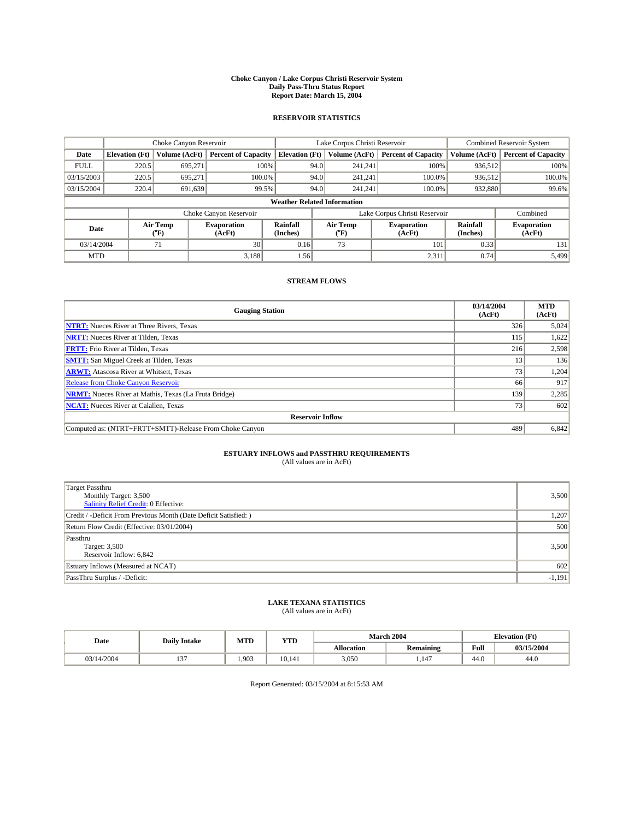#### **Choke Canyon / Lake Corpus Christi Reservoir System Daily Pass-Thru Status Report Report Date: March 15, 2004**

### **RESERVOIR STATISTICS**

|                                    | Choke Canyon Reservoir |                             | Lake Corpus Christi Reservoir |                             |      |                  | Combined Reservoir System     |                      |                              |
|------------------------------------|------------------------|-----------------------------|-------------------------------|-----------------------------|------|------------------|-------------------------------|----------------------|------------------------------|
| Date                               | <b>Elevation</b> (Ft)  | Volume (AcFt)               | <b>Percent of Capacity</b>    | <b>Elevation</b> (Ft)       |      | Volume (AcFt)    | <b>Percent of Capacity</b>    | Volume (AcFt)        | <b>Percent of Capacity</b>   |
| <b>FULL</b>                        | 220.5                  | 695,271                     | 100%                          |                             | 94.0 | 241,241          | 100%                          | 936.512              | 100%                         |
| 03/15/2003                         | 220.5                  | 695.271                     | $100.0\%$                     |                             | 94.0 | 241.241          | $100.0\%$                     | 936.512              | 100.0%                       |
| 03/15/2004                         | 220.4                  | 691,639                     | 99.5%                         |                             | 94.0 | 241.241          | $100.0\%$                     | 932,880              | 99.6%                        |
| <b>Weather Related Information</b> |                        |                             |                               |                             |      |                  |                               |                      |                              |
|                                    |                        |                             | Choke Canyon Reservoir        |                             |      |                  | Lake Corpus Christi Reservoir |                      | Combined                     |
| Date                               |                        | Air Temp<br>${}^{\circ}$ F) | <b>Evaporation</b><br>(AcFt)  | <b>Rainfall</b><br>(Inches) |      | Air Temp<br>("F) | <b>Evaporation</b><br>(AcFt)  | Rainfall<br>(Inches) | <b>Evaporation</b><br>(AcFt) |
| 03/14/2004                         |                        | 71                          | 30 <sub>1</sub>               | 0.16                        |      | 73               | 101                           | 0.33                 | 131                          |
| <b>MTD</b>                         |                        |                             | 3,188                         | 1.56                        |      |                  | 2,311                         | 0.74                 | 5,499                        |

## **STREAM FLOWS**

| <b>Gauging Station</b>                                       | 03/14/2004<br>(AcFt) | <b>MTD</b><br>(AcFt) |
|--------------------------------------------------------------|----------------------|----------------------|
| <b>NTRT:</b> Nueces River at Three Rivers, Texas             | 326                  | 5,024                |
| <b>NRTT:</b> Nueces River at Tilden, Texas                   | 115                  | 1,622                |
| <b>FRTT:</b> Frio River at Tilden, Texas                     | 216                  | 2,598                |
| <b>SMTT:</b> San Miguel Creek at Tilden, Texas               | 13                   | 136                  |
| <b>ARWT:</b> Atascosa River at Whitsett, Texas               | 73 <sub>1</sub>      | 1,204                |
| <b>Release from Choke Canyon Reservoir</b>                   | 66                   | 917                  |
| <b>NRMT:</b> Nueces River at Mathis, Texas (La Fruta Bridge) | 139                  | 2,285                |
| <b>NCAT:</b> Nueces River at Calallen, Texas                 | 73                   | 602                  |
| <b>Reservoir Inflow</b>                                      |                      |                      |
| Computed as: (NTRT+FRTT+SMTT)-Release From Choke Canyon      | 489                  | 6,842                |

## **ESTUARY INFLOWS and PASSTHRU REQUIREMENTS**<br>(All values are in AcFt)

| Target Passthru<br>Monthly Target: 3,500<br>Salinity Relief Credit: 0 Effective: | 3,500    |
|----------------------------------------------------------------------------------|----------|
| Credit / -Deficit From Previous Month (Date Deficit Satisfied: )                 | 1,207    |
| Return Flow Credit (Effective: 03/01/2004)                                       | 500      |
| Passthru<br>Target: 3,500<br>Reservoir Inflow: 6,842                             | 3,500    |
| Estuary Inflows (Measured at NCAT)                                               | 602      |
| PassThru Surplus / -Deficit:                                                     | $-1,191$ |

# **LAKE TEXANA STATISTICS** (All values are in AcFt)

| Date       | <b>Daily Intake</b> | MTD   | <b>YTD</b> |                   | <b>March 2004</b> | <b>Elevation</b> (Ft) |            |
|------------|---------------------|-------|------------|-------------------|-------------------|-----------------------|------------|
|            |                     |       |            | <b>Allocation</b> | <b>Remaining</b>  | Full                  | 03/15/2004 |
| 03/14/2004 | $\sim$<br>          | 1.903 | 10.141     | 3,050             | .147              | $\sim$<br>44.0        | 44.0       |

Report Generated: 03/15/2004 at 8:15:53 AM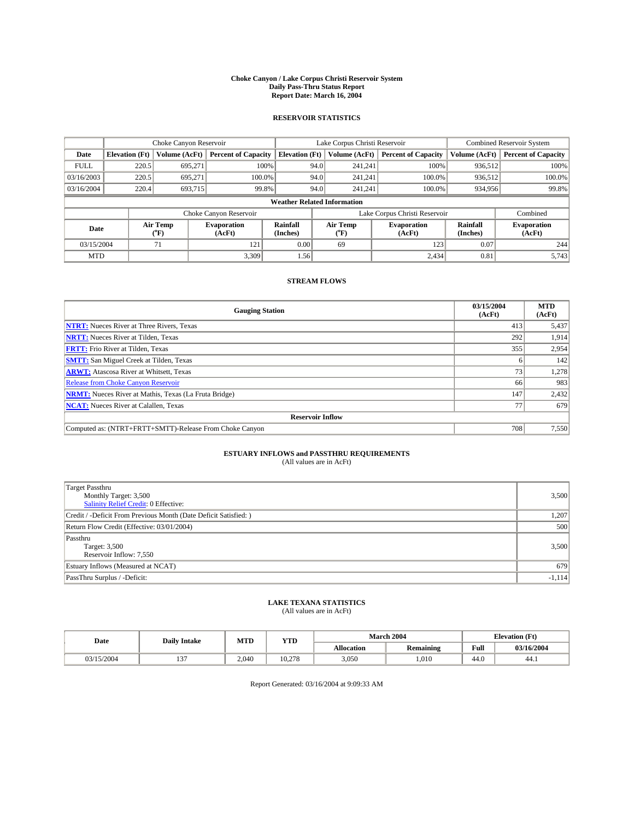#### **Choke Canyon / Lake Corpus Christi Reservoir System Daily Pass-Thru Status Report Report Date: March 16, 2004**

### **RESERVOIR STATISTICS**

|             | Choke Canyon Reservoir             |                  | Lake Corpus Christi Reservoir |                             |      |                         | Combined Reservoir System     |                      |                              |  |
|-------------|------------------------------------|------------------|-------------------------------|-----------------------------|------|-------------------------|-------------------------------|----------------------|------------------------------|--|
| Date        | <b>Elevation</b> (Ft)              | Volume (AcFt)    | <b>Percent of Capacity</b>    | <b>Elevation</b> (Ft)       |      | Volume (AcFt)           | <b>Percent of Capacity</b>    | Volume (AcFt)        | <b>Percent of Capacity</b>   |  |
| <b>FULL</b> | 220.5                              | 695,271          |                               | 100%                        | 94.0 | 241,241                 | 100%                          | 936,512              | 100%                         |  |
| 03/16/2003  | 220.5                              | 695.271          | $100.0\%$                     |                             | 94.0 | 241,241                 | $100.0\%$                     | 936,512              | 100.0%                       |  |
| 03/16/2004  | 220.4                              | 693,715          |                               | 99.8%                       | 94.0 | 241,241                 | 100.0%                        | 934,956              | 99.8%                        |  |
|             | <b>Weather Related Information</b> |                  |                               |                             |      |                         |                               |                      |                              |  |
|             |                                    |                  | Choke Canyon Reservoir        |                             |      |                         | Lake Corpus Christi Reservoir |                      | Combined                     |  |
| Date        |                                    | Air Temp<br>(°F) | <b>Evaporation</b><br>(AcFt)  | <b>Rainfall</b><br>(Inches) |      | Air Temp<br>$\rm ^{op}$ | <b>Evaporation</b><br>(AcFt)  | Rainfall<br>(Inches) | <b>Evaporation</b><br>(AcFt) |  |
| 03/15/2004  |                                    | 71               | 121                           | 0.00                        |      | 69                      | 123                           | 0.07                 | 244                          |  |
| <b>MTD</b>  |                                    |                  | 3.309                         | 1.56                        |      |                         | 2.434                         | 0.81                 | 5,743                        |  |

## **STREAM FLOWS**

| <b>Gauging Station</b>                                       | 03/15/2004<br>(AcFt) | <b>MTD</b><br>(AcFt) |
|--------------------------------------------------------------|----------------------|----------------------|
| <b>NTRT:</b> Nueces River at Three Rivers, Texas             | 413                  | 5,437                |
| <b>NRTT:</b> Nueces River at Tilden, Texas                   | 292                  | 1,914                |
| <b>FRTT:</b> Frio River at Tilden, Texas                     | 355                  | 2,954                |
| <b>SMTT:</b> San Miguel Creek at Tilden, Texas               |                      | 142                  |
| <b>ARWT:</b> Atascosa River at Whitsett, Texas               | 73 <sub>1</sub>      | 1,278                |
| <b>Release from Choke Canyon Reservoir</b>                   | 66                   | 983                  |
| <b>NRMT:</b> Nueces River at Mathis, Texas (La Fruta Bridge) | 147                  | 2,432                |
| <b>NCAT:</b> Nueces River at Calallen, Texas                 | 77                   | 679                  |
| <b>Reservoir Inflow</b>                                      |                      |                      |
| Computed as: (NTRT+FRTT+SMTT)-Release From Choke Canyon      | 708                  | 7,550                |

## **ESTUARY INFLOWS and PASSTHRU REQUIREMENTS**

(All values are in AcFt)

| Target Passthru<br>Monthly Target: 3,500<br><b>Salinity Relief Credit: 0 Effective:</b> | 3,500    |
|-----------------------------------------------------------------------------------------|----------|
| Credit / -Deficit From Previous Month (Date Deficit Satisfied: )                        | 1,207    |
| Return Flow Credit (Effective: 03/01/2004)                                              | 500      |
| Passthru<br>Target: 3,500<br>Reservoir Inflow: 7,550                                    | 3,500    |
| Estuary Inflows (Measured at NCAT)                                                      | 679      |
| PassThru Surplus / -Deficit:                                                            | $-1,114$ |

# **LAKE TEXANA STATISTICS** (All values are in AcFt)

| Date       | <b>Daily Intake</b> | MTD   | <b>YTD</b> |                   | <b>March 2004</b> | <b>Elevation</b> (Ft) |            |
|------------|---------------------|-------|------------|-------------------|-------------------|-----------------------|------------|
|            |                     |       |            | <b>Allocation</b> | <b>Remaining</b>  | Full                  | 03/16/2004 |
| 03/15/2004 | $\sim$<br>          | 2.040 | 10.278     | 3,050             | ,010              | $\sim$<br>-44.0       | 44.1       |

Report Generated: 03/16/2004 at 9:09:33 AM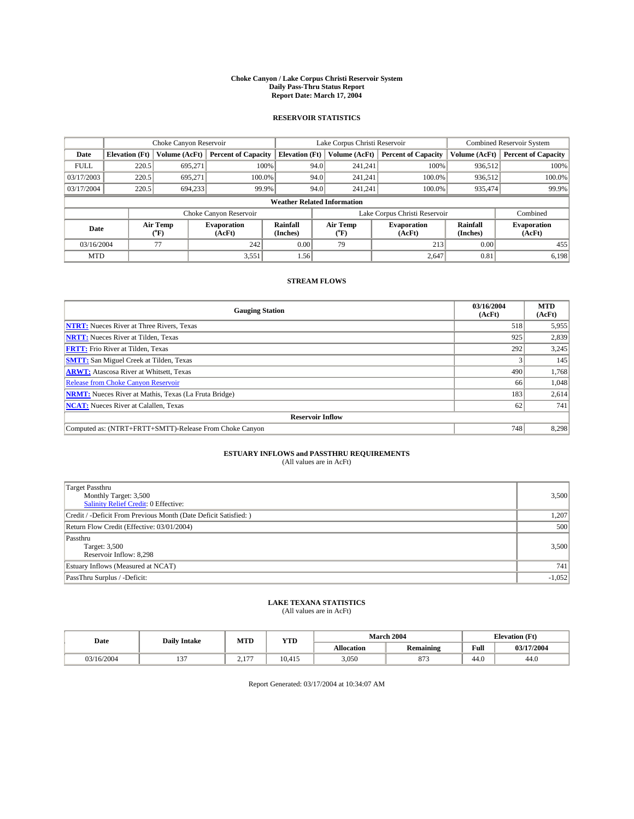#### **Choke Canyon / Lake Corpus Christi Reservoir System Daily Pass-Thru Status Report Report Date: March 17, 2004**

### **RESERVOIR STATISTICS**

|                                    | Choke Canyon Reservoir |                  | Lake Corpus Christi Reservoir |                       |      |                  | <b>Combined Reservoir System</b> |                      |                              |
|------------------------------------|------------------------|------------------|-------------------------------|-----------------------|------|------------------|----------------------------------|----------------------|------------------------------|
| Date                               | <b>Elevation</b> (Ft)  | Volume (AcFt)    | <b>Percent of Capacity</b>    | <b>Elevation (Ft)</b> |      | Volume (AcFt)    | <b>Percent of Capacity</b>       | Volume (AcFt)        | <b>Percent of Capacity</b>   |
| <b>FULL</b>                        | 220.5                  | 695,271          | 100%                          |                       | 94.0 | 241,241          | 100%                             | 936.512              | 100%                         |
| 03/17/2003                         | 220.5                  | 695.271          | $100.0\%$                     |                       | 94.0 | 241.241          | $100.0\%$                        | 936.512              | 100.0%                       |
| 03/17/2004                         | 220.5                  | 694.233          | 99.9%                         |                       | 94.0 | 241,241          | $100.0\%$                        | 935,474              | 99.9%                        |
| <b>Weather Related Information</b> |                        |                  |                               |                       |      |                  |                                  |                      |                              |
|                                    |                        |                  | Choke Canyon Reservoir        |                       |      |                  | Lake Corpus Christi Reservoir    |                      | Combined                     |
| Date                               |                        | Air Temp<br>(°F) | <b>Evaporation</b><br>(AcFt)  | Rainfall<br>(Inches)  |      | Air Temp<br>("F) | <b>Evaporation</b><br>(AcFt)     | Rainfall<br>(Inches) | <b>Evaporation</b><br>(AcFt) |
| 03/16/2004                         |                        | 77               | 242                           | 0.00                  |      | 79               | 213                              | 0.00                 | 455                          |
| <b>MTD</b>                         |                        |                  | 3,551                         | 1.56                  |      |                  | 2,647                            | 0.81                 | 6,198                        |

## **STREAM FLOWS**

| <b>Gauging Station</b>                                       | 03/16/2004<br>(AcFt) | <b>MTD</b><br>(AcFt) |  |  |  |  |  |
|--------------------------------------------------------------|----------------------|----------------------|--|--|--|--|--|
| <b>NTRT:</b> Nueces River at Three Rivers, Texas             | 518                  | 5,955                |  |  |  |  |  |
| <b>NRTT:</b> Nueces River at Tilden, Texas                   | 925                  | 2,839                |  |  |  |  |  |
| <b>FRTT:</b> Frio River at Tilden, Texas                     | 292                  | 3,245                |  |  |  |  |  |
| <b>SMTT:</b> San Miguel Creek at Tilden, Texas               |                      | 145                  |  |  |  |  |  |
| <b>ARWT:</b> Atascosa River at Whitsett, Texas               | 490                  | 1,768                |  |  |  |  |  |
| <b>Release from Choke Canyon Reservoir</b>                   | 66                   | 1,048                |  |  |  |  |  |
| <b>NRMT:</b> Nueces River at Mathis, Texas (La Fruta Bridge) | 183                  | 2,614                |  |  |  |  |  |
| <b>NCAT:</b> Nueces River at Calallen, Texas                 | 62                   | 741                  |  |  |  |  |  |
| <b>Reservoir Inflow</b>                                      |                      |                      |  |  |  |  |  |
| Computed as: (NTRT+FRTT+SMTT)-Release From Choke Canyon      | 748                  | 8,298                |  |  |  |  |  |

# **ESTUARY INFLOWS and PASSTHRU REQUIREMENTS**<br>(All values are in AcFt)

| <b>Target Passthru</b><br>Monthly Target: 3,500<br>Salinity Relief Credit: 0 Effective: | 3,500    |
|-----------------------------------------------------------------------------------------|----------|
| Credit / -Deficit From Previous Month (Date Deficit Satisfied: )                        | 1,207    |
| Return Flow Credit (Effective: 03/01/2004)                                              | 500      |
| Passthru<br>Target: 3,500<br>Reservoir Inflow: 8,298                                    | 3,500    |
| Estuary Inflows (Measured at NCAT)                                                      | 741      |
| PassThru Surplus / -Deficit:                                                            | $-1,052$ |

# **LAKE TEXANA STATISTICS** (All values are in AcFt)

| Date       | <b>Daily Intake</b> | MTD                                        | <b>YTD</b> |                   | March 2004 | <b>Elevation</b> (Ft) |            |
|------------|---------------------|--------------------------------------------|------------|-------------------|------------|-----------------------|------------|
|            |                     |                                            |            | <b>Allocation</b> | Remaining  | Full                  | 03/17/2004 |
| 03/16/2004 | $\sim$<br>"'        | 1.77<br>$\sim$ $\sim$ $\sim$ $\sim$ $\sim$ | 10,415     | 3,050             | 072<br>012 | 44.0                  | 44.0       |

Report Generated: 03/17/2004 at 10:34:07 AM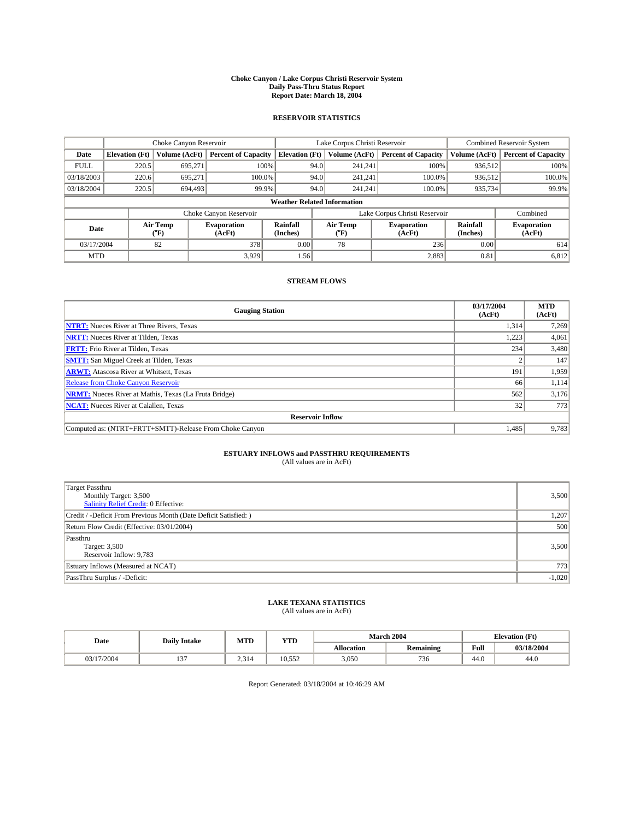#### **Choke Canyon / Lake Corpus Christi Reservoir System Daily Pass-Thru Status Report Report Date: March 18, 2004**

### **RESERVOIR STATISTICS**

|                                    | Choke Canyon Reservoir |                  | Lake Corpus Christi Reservoir |                       |      |                  | <b>Combined Reservoir System</b> |                      |                              |
|------------------------------------|------------------------|------------------|-------------------------------|-----------------------|------|------------------|----------------------------------|----------------------|------------------------------|
| Date                               | <b>Elevation</b> (Ft)  | Volume (AcFt)    | <b>Percent of Capacity</b>    | <b>Elevation (Ft)</b> |      | Volume (AcFt)    | <b>Percent of Capacity</b>       | Volume (AcFt)        | <b>Percent of Capacity</b>   |
| <b>FULL</b>                        | 220.5                  | 695,271          |                               | 100%                  | 94.0 | 241,241          | 100%                             | 936.512              | 100%                         |
| 03/18/2003                         | 220.6                  | 695.271          | $100.0\%$                     |                       | 94.0 | 241.241          | $100.0\%$                        | 936.512              | 100.0%                       |
| 03/18/2004                         | 220.5                  | 694,493          | 99.9%                         |                       | 94.0 | 241,241          | $100.0\%$                        | 935,734              | 99.9%                        |
| <b>Weather Related Information</b> |                        |                  |                               |                       |      |                  |                                  |                      |                              |
|                                    |                        |                  | Choke Canyon Reservoir        |                       |      |                  | Lake Corpus Christi Reservoir    |                      | Combined                     |
| Date                               |                        | Air Temp<br>(°F) | <b>Evaporation</b><br>(AcFt)  | Rainfall<br>(Inches)  |      | Air Temp<br>("F) | <b>Evaporation</b><br>(AcFt)     | Rainfall<br>(Inches) | <b>Evaporation</b><br>(AcFt) |
| 03/17/2004                         |                        | 82               | 378                           | 0.00                  |      | 78               | 236                              | 0.00                 | 614                          |
| <b>MTD</b>                         |                        |                  | 3,929                         | 1.56                  |      |                  | 2,883                            | 0.81                 | 6,812                        |

## **STREAM FLOWS**

| <b>Gauging Station</b>                                       | 03/17/2004<br>(AcFt) | <b>MTD</b><br>(AcFt) |
|--------------------------------------------------------------|----------------------|----------------------|
| <b>NTRT:</b> Nueces River at Three Rivers, Texas             | 1,314                | 7,269                |
| <b>NRTT:</b> Nueces River at Tilden, Texas                   | 1.223                | 4,061                |
| <b>FRTT:</b> Frio River at Tilden, Texas                     | 234                  | 3,480                |
| <b>SMTT:</b> San Miguel Creek at Tilden, Texas               |                      | 147                  |
| <b>ARWT:</b> Atascosa River at Whitsett, Texas               | 191                  | 1,959                |
| <b>Release from Choke Canyon Reservoir</b>                   | 66                   | 1,114                |
| <b>NRMT:</b> Nueces River at Mathis, Texas (La Fruta Bridge) | 562                  | 3,176                |
| <b>NCAT:</b> Nueces River at Calallen, Texas                 | 32                   | 773                  |
| <b>Reservoir Inflow</b>                                      |                      |                      |
| Computed as: (NTRT+FRTT+SMTT)-Release From Choke Canyon      | 1.485                | 9,783                |

## **ESTUARY INFLOWS and PASSTHRU REQUIREMENTS**<br>(All values are in AcFt)

| Target Passthru<br>Monthly Target: 3,500<br>Salinity Relief Credit: 0 Effective: | 3,500    |
|----------------------------------------------------------------------------------|----------|
| Credit / -Deficit From Previous Month (Date Deficit Satisfied: )                 | 1,207    |
| Return Flow Credit (Effective: 03/01/2004)                                       | 500      |
| Passthru<br>Target: 3,500<br>Reservoir Inflow: 9,783                             | 3,500    |
| Estuary Inflows (Measured at NCAT)                                               | 773      |
| PassThru Surplus / -Deficit:                                                     | $-1,020$ |

# **LAKE TEXANA STATISTICS** (All values are in AcFt)

| Date     | <b>Daily Intake</b> | MTD   | <b>YTD</b>                  |                   | <b>March 2004</b>                 | <b>Elevation</b> (Ft) |            |
|----------|---------------------|-------|-----------------------------|-------------------|-----------------------------------|-----------------------|------------|
|          |                     |       |                             | <b>Allocation</b> | $\ddot{\phantom{a}}$<br>Remaining | Full                  | 03/18/2004 |
| /17/2004 | $\sim$<br>$\cdot$   | 2.314 | $- - -$<br>$\sim$<br>.U.JJZ | 3,050             | 736                               | $\sim$<br>44.U        | 44.0       |

Report Generated: 03/18/2004 at 10:46:29 AM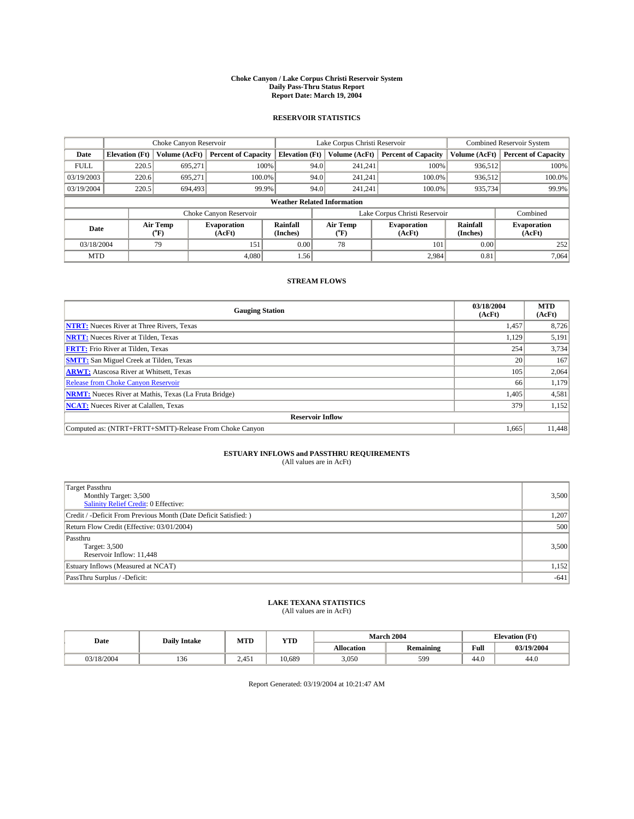#### **Choke Canyon / Lake Corpus Christi Reservoir System Daily Pass-Thru Status Report Report Date: March 19, 2004**

### **RESERVOIR STATISTICS**

|             | Choke Canyon Reservoir             |                  |                              |                       | Lake Corpus Christi Reservoir |                  |                               |                      | <b>Combined Reservoir System</b> |  |  |
|-------------|------------------------------------|------------------|------------------------------|-----------------------|-------------------------------|------------------|-------------------------------|----------------------|----------------------------------|--|--|
| Date        | <b>Elevation</b> (Ft)              | Volume (AcFt)    | <b>Percent of Capacity</b>   | <b>Elevation</b> (Ft) |                               | Volume (AcFt)    | <b>Percent of Capacity</b>    | Volume (AcFt)        | <b>Percent of Capacity</b>       |  |  |
| <b>FULL</b> | 220.5                              | 695.271          |                              | 100%                  | 94.0                          | 241,241          | 100%                          | 936.512              | 100%                             |  |  |
| 03/19/2003  | 220.6                              | 695.271          | $100.0\%$                    |                       | 94.0                          | 241.241          | 100.0%                        | 936.512              | 100.0%                           |  |  |
| 03/19/2004  | 220.5                              | 694,493          | 99.9%                        |                       | 94.0                          | 241.241          | 100.0%                        | 935,734              | 99.9%                            |  |  |
|             | <b>Weather Related Information</b> |                  |                              |                       |                               |                  |                               |                      |                                  |  |  |
|             |                                    |                  | Choke Canyon Reservoir       |                       |                               |                  | Lake Corpus Christi Reservoir |                      | Combined                         |  |  |
| Date        |                                    | Air Temp<br>(°F) | <b>Evaporation</b><br>(AcFt) | Rainfall<br>(Inches)  |                               | Air Temp<br>("F) | <b>Evaporation</b><br>(AcFt)  | Rainfall<br>(Inches) | <b>Evaporation</b><br>(AcFt)     |  |  |
| 03/18/2004  |                                    | 79               | 151                          | 0.00                  |                               | 78               | 101                           | 0.00                 | 252                              |  |  |
| <b>MTD</b>  |                                    |                  | 4.080                        | 1.56                  |                               |                  | 2,984                         | 0.81                 | 7,064                            |  |  |

## **STREAM FLOWS**

| <b>Gauging Station</b>                                       | 03/18/2004<br>(AcFt) | <b>MTD</b><br>(AcFt) |
|--------------------------------------------------------------|----------------------|----------------------|
| <b>NTRT:</b> Nueces River at Three Rivers, Texas             | 1,457                | 8,726                |
| <b>NRTT:</b> Nueces River at Tilden, Texas                   | 1,129                | 5,191                |
| <b>FRTT:</b> Frio River at Tilden, Texas                     | 254                  | 3,734                |
| <b>SMTT:</b> San Miguel Creek at Tilden, Texas               | 20                   | 167                  |
| <b>ARWT:</b> Atascosa River at Whitsett, Texas               | 105                  | 2,064                |
| Release from Choke Canyon Reservoir                          | 66                   | 1,179                |
| <b>NRMT:</b> Nueces River at Mathis, Texas (La Fruta Bridge) | 1,405                | 4,581                |
| <b>NCAT:</b> Nueces River at Calallen, Texas                 | 379                  | 1,152                |
| <b>Reservoir Inflow</b>                                      |                      |                      |
| Computed as: (NTRT+FRTT+SMTT)-Release From Choke Canyon      | 1.665                | 11,448               |

## **ESTUARY INFLOWS and PASSTHRU REQUIREMENTS**<br>(All values are in AcFt)

| <b>Target Passthru</b><br>Monthly Target: 3,500<br><b>Salinity Relief Credit: 0 Effective:</b> | 3,500  |
|------------------------------------------------------------------------------------------------|--------|
| Credit / -Deficit From Previous Month (Date Deficit Satisfied: )                               | 1,207  |
| Return Flow Credit (Effective: 03/01/2004)                                                     | 500    |
| Passthru<br>Target: 3,500<br>Reservoir Inflow: 11,448                                          | 3,500  |
| Estuary Inflows (Measured at NCAT)                                                             | 1,152  |
| PassThru Surplus / -Deficit:                                                                   | $-641$ |

# **LAKE TEXANA STATISTICS** (All values are in AcFt)

| Date       | <b>Daily Intake</b> | MTD   | <b>YTD</b> |                   | <b>March 2004</b> | <b>Elevation</b> (Ft) |            |
|------------|---------------------|-------|------------|-------------------|-------------------|-----------------------|------------|
|            |                     |       |            | <b>Allocation</b> | <b>Remaining</b>  | Full                  | 03/19/2004 |
| 03/18/2004 | 1.JU                | 2.451 | 10.689     | 3,050             | 599               | 44.0                  | 44.0       |

Report Generated: 03/19/2004 at 10:21:47 AM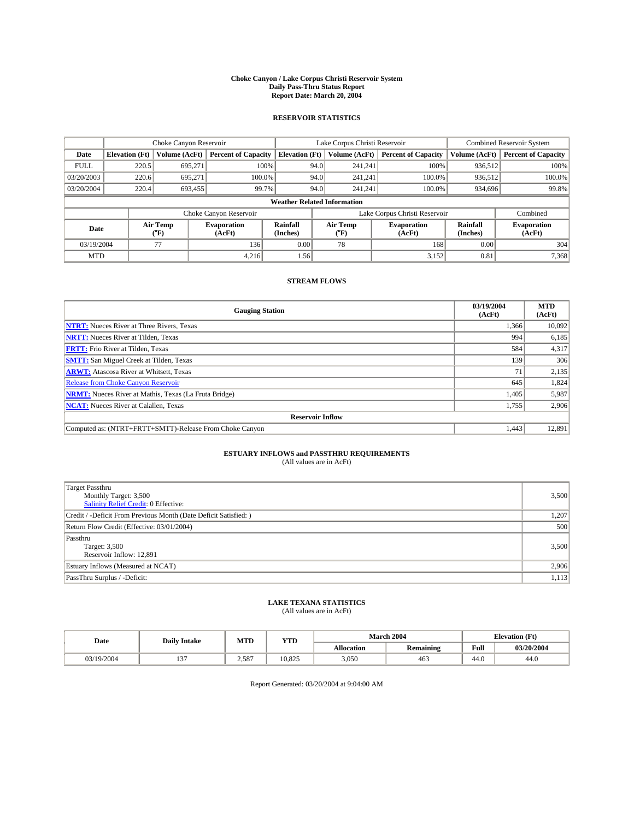#### **Choke Canyon / Lake Corpus Christi Reservoir System Daily Pass-Thru Status Report Report Date: March 20, 2004**

### **RESERVOIR STATISTICS**

|             | Choke Canyon Reservoir             |                  |                              |                       | Lake Corpus Christi Reservoir |                  |                               |                      | <b>Combined Reservoir System</b> |  |  |
|-------------|------------------------------------|------------------|------------------------------|-----------------------|-------------------------------|------------------|-------------------------------|----------------------|----------------------------------|--|--|
| Date        | <b>Elevation</b> (Ft)              | Volume (AcFt)    | <b>Percent of Capacity</b>   | <b>Elevation (Ft)</b> |                               | Volume (AcFt)    | <b>Percent of Capacity</b>    | Volume (AcFt)        | <b>Percent of Capacity</b>       |  |  |
| <b>FULL</b> | 220.5                              | 695,271          |                              | 100%                  | 94.0                          | 241,241          | 100%                          | 936.512              | 100%                             |  |  |
| 03/20/2003  | 220.6                              | 695.271          | $100.0\%$                    |                       | 94.0                          | 241.241          | $100.0\%$                     | 936.512              | 100.0%                           |  |  |
| 03/20/2004  | 220.4                              | 693,455          | 99.7%                        |                       | 94.0                          | 241.241          | $100.0\%$                     | 934,696              | 99.8%                            |  |  |
|             | <b>Weather Related Information</b> |                  |                              |                       |                               |                  |                               |                      |                                  |  |  |
|             |                                    |                  | Choke Canyon Reservoir       |                       |                               |                  | Lake Corpus Christi Reservoir |                      | Combined                         |  |  |
| Date        |                                    | Air Temp<br>(°F) | <b>Evaporation</b><br>(AcFt) | Rainfall<br>(Inches)  |                               | Air Temp<br>("F) | <b>Evaporation</b><br>(AcFt)  | Rainfall<br>(Inches) | <b>Evaporation</b><br>(AcFt)     |  |  |
| 03/19/2004  |                                    | 77               | 136                          | 0.00                  |                               | 78               | 168                           | 0.00                 | 304                              |  |  |
| <b>MTD</b>  |                                    |                  | 4,216                        | 1.56                  |                               |                  | 3,152                         | 0.81                 | 7,368                            |  |  |

## **STREAM FLOWS**

| <b>Gauging Station</b>                                       | 03/19/2004<br>(AcFt) | <b>MTD</b><br>(AcFt) |
|--------------------------------------------------------------|----------------------|----------------------|
| <b>NTRT:</b> Nueces River at Three Rivers, Texas             | 1,366                | 10,092               |
| <b>NRTT:</b> Nueces River at Tilden, Texas                   | 994                  | 6,185                |
| <b>FRTT:</b> Frio River at Tilden, Texas                     | 584                  | 4,317                |
| <b>SMTT:</b> San Miguel Creek at Tilden, Texas               | 139                  | 306                  |
| <b>ARWT:</b> Atascosa River at Whitsett, Texas               | 71                   | 2,135                |
| <b>Release from Choke Canyon Reservoir</b>                   | 645                  | 1,824                |
| <b>NRMT:</b> Nueces River at Mathis, Texas (La Fruta Bridge) | 1,405                | 5,987                |
| <b>NCAT:</b> Nueces River at Calallen, Texas                 | 1,755                | 2,906                |
| <b>Reservoir Inflow</b>                                      |                      |                      |
| Computed as: (NTRT+FRTT+SMTT)-Release From Choke Canyon      | 1.443                | 12,891               |

## **ESTUARY INFLOWS and PASSTHRU REQUIREMENTS**<br>(All values are in AcFt)

| <b>Target Passthru</b><br>Monthly Target: 3,500<br><b>Salinity Relief Credit: 0 Effective:</b> | 3,500 |
|------------------------------------------------------------------------------------------------|-------|
| Credit / -Deficit From Previous Month (Date Deficit Satisfied: )                               | 1,207 |
| Return Flow Credit (Effective: 03/01/2004)                                                     | 500   |
| Passthru<br>Target: 3,500<br>Reservoir Inflow: 12,891                                          | 3,500 |
| Estuary Inflows (Measured at NCAT)                                                             | 2,906 |
| PassThru Surplus / -Deficit:                                                                   | 1,113 |

# **LAKE TEXANA STATISTICS** (All values are in AcFt)

| Date     | <b>Daily Intake</b>      | MTD   | <b>WITH</b><br>1 I.D |            | March 2004       | <b>Elevation</b> (Ft) |            |
|----------|--------------------------|-------|----------------------|------------|------------------|-----------------------|------------|
|          |                          |       |                      | Allocation | <b>Remaining</b> | Full                  | 03/20/2004 |
| /19/2004 | $\sim$<br>$\overline{1}$ | 2.587 | 10.825               | 3,050      | 463              | 44.0                  | 44.0       |

Report Generated: 03/20/2004 at 9:04:00 AM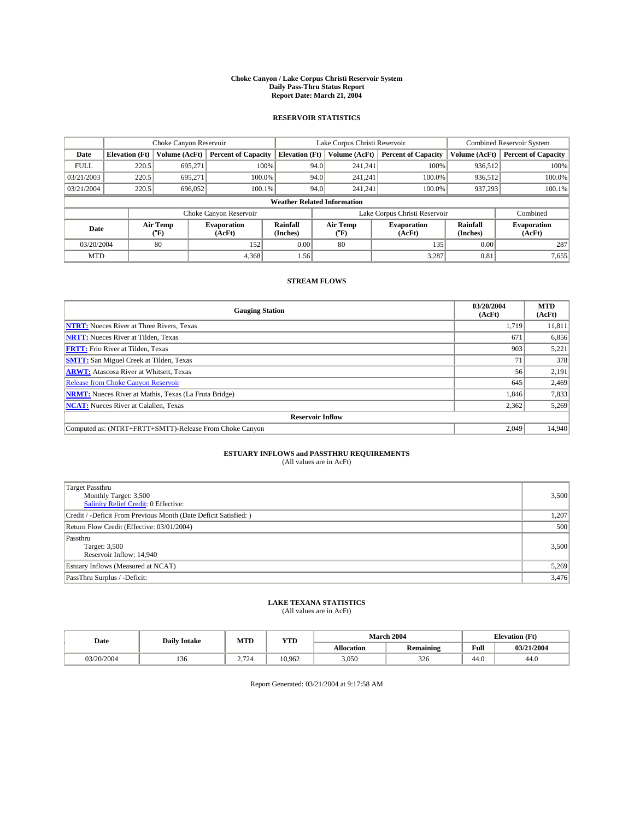#### **Choke Canyon / Lake Corpus Christi Reservoir System Daily Pass-Thru Status Report Report Date: March 21, 2004**

### **RESERVOIR STATISTICS**

|             | Choke Canyon Reservoir             |                  |                              |                       | Lake Corpus Christi Reservoir |                  |                               |                      | <b>Combined Reservoir System</b> |  |  |
|-------------|------------------------------------|------------------|------------------------------|-----------------------|-------------------------------|------------------|-------------------------------|----------------------|----------------------------------|--|--|
| Date        | <b>Elevation</b> (Ft)              | Volume (AcFt)    | <b>Percent of Capacity</b>   | <b>Elevation (Ft)</b> |                               | Volume (AcFt)    | <b>Percent of Capacity</b>    | Volume (AcFt)        | <b>Percent of Capacity</b>       |  |  |
| <b>FULL</b> | 220.5                              | 695,271          |                              | 100%                  | 94.0                          | 241,241          | 100%                          | 936.512              | 100%                             |  |  |
| 03/21/2003  | 220.5                              | 695.271          | $100.0\%$                    |                       | 94.0                          | 241.241          | $100.0\%$                     | 936.512              | 100.0%                           |  |  |
| 03/21/2004  | 220.5                              | 696,052          | 100.1%                       |                       | 94.0                          | 241,241          | $100.0\%$                     | 937,293              | 100.1%                           |  |  |
|             | <b>Weather Related Information</b> |                  |                              |                       |                               |                  |                               |                      |                                  |  |  |
|             |                                    |                  | Choke Canyon Reservoir       |                       |                               |                  | Lake Corpus Christi Reservoir |                      | Combined                         |  |  |
| Date        |                                    | Air Temp<br>(°F) | <b>Evaporation</b><br>(AcFt) | Rainfall<br>(Inches)  |                               | Air Temp<br>("F) | <b>Evaporation</b><br>(AcFt)  | Rainfall<br>(Inches) | <b>Evaporation</b><br>(AcFt)     |  |  |
| 03/20/2004  |                                    | 80               | 152                          | 0.00                  |                               | 80               | 135                           | 0.00                 | 287                              |  |  |
| <b>MTD</b>  |                                    |                  | 4,368                        | 1.56                  |                               |                  | 3,287                         | 0.81                 | 7,655                            |  |  |

### **STREAM FLOWS**

| <b>Gauging Station</b>                                       | 03/20/2004<br>(AcFt) | <b>MTD</b><br>(AcFt) |
|--------------------------------------------------------------|----------------------|----------------------|
| <b>NTRT:</b> Nueces River at Three Rivers, Texas             | 1,719                | 11,811               |
| <b>NRTT:</b> Nueces River at Tilden, Texas                   | 671                  | 6,856                |
| <b>FRTT:</b> Frio River at Tilden, Texas                     | 903                  | 5,221                |
| <b>SMTT:</b> San Miguel Creek at Tilden, Texas               | 71                   | 378                  |
| <b>ARWT:</b> Atascosa River at Whitsett, Texas               | 56                   | 2,191                |
| <b>Release from Choke Canyon Reservoir</b>                   | 645                  | 2,469                |
| <b>NRMT:</b> Nueces River at Mathis, Texas (La Fruta Bridge) | 1,846                | 7,833                |
| <b>NCAT:</b> Nueces River at Calallen, Texas                 | 2,362                | 5,269                |
| <b>Reservoir Inflow</b>                                      |                      |                      |
| Computed as: (NTRT+FRTT+SMTT)-Release From Choke Canyon      | 2.049                | 14.940               |

# **ESTUARY INFLOWS and PASSTHRU REQUIREMENTS**<br>(All values are in AcFt)

| <b>Target Passthru</b><br>Monthly Target: 3,500<br>Salinity Relief Credit: 0 Effective: | 3,500 |
|-----------------------------------------------------------------------------------------|-------|
| Credit / -Deficit From Previous Month (Date Deficit Satisfied: )                        | 1,207 |
| Return Flow Credit (Effective: 03/01/2004)                                              | 500   |
| Passthru<br>Target: 3,500<br>Reservoir Inflow: 14,940                                   | 3,500 |
| Estuary Inflows (Measured at NCAT)                                                      | 5,269 |
| PassThru Surplus / -Deficit:                                                            | 3,476 |

# **LAKE TEXANA STATISTICS** (All values are in AcFt)

| Date       | <b>Daily Intake</b> | MTD   | <b>VTT</b><br>1 I.D |            | March 2004       | <b>Elevation</b> (Ft) |            |
|------------|---------------------|-------|---------------------|------------|------------------|-----------------------|------------|
|            |                     |       |                     | Allocation | <b>Remaining</b> | Full                  | 03/21/2004 |
| 03/20/2004 | 136                 | 2.724 | 10.962              | 3,050      | 326              | 44.0                  | 44.0       |

Report Generated: 03/21/2004 at 9:17:58 AM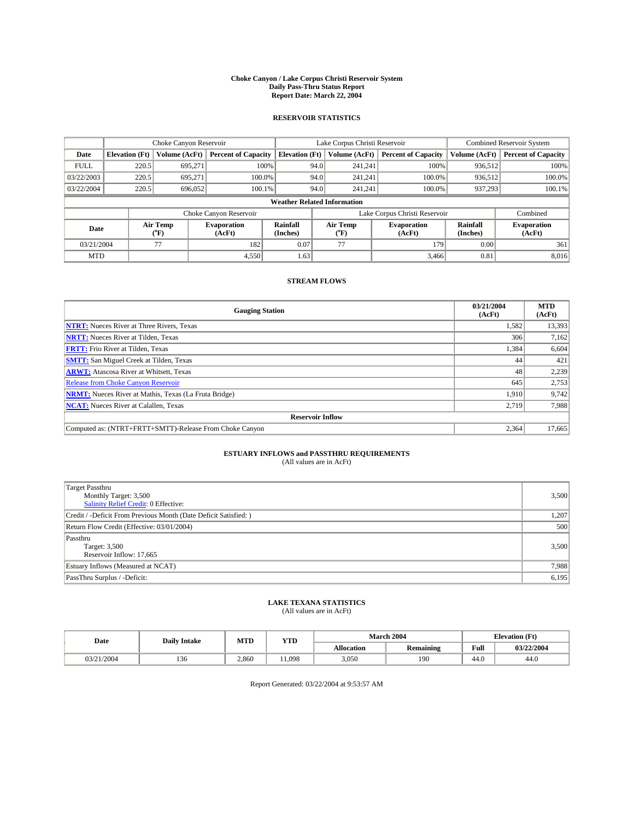#### **Choke Canyon / Lake Corpus Christi Reservoir System Daily Pass-Thru Status Report Report Date: March 22, 2004**

### **RESERVOIR STATISTICS**

|             | Choke Canyon Reservoir             |                  | Lake Corpus Christi Reservoir |                       |      |                  | <b>Combined Reservoir System</b> |                      |                              |  |
|-------------|------------------------------------|------------------|-------------------------------|-----------------------|------|------------------|----------------------------------|----------------------|------------------------------|--|
| Date        | <b>Elevation</b> (Ft)              | Volume (AcFt)    | <b>Percent of Capacity</b>    | <b>Elevation (Ft)</b> |      | Volume (AcFt)    | <b>Percent of Capacity</b>       | Volume (AcFt)        | <b>Percent of Capacity</b>   |  |
| <b>FULL</b> | 220.5                              | 695.271          |                               | 100%                  | 94.0 | 241,241          | 100%                             | 936.512              | 100%                         |  |
| 03/22/2003  | 220.5                              | 695.271          | $100.0\%$                     |                       | 94.0 | 241,241          | 100.0%                           | 936,512              | 100.0%                       |  |
| 03/22/2004  | 220.5                              | 696,052          | 100.1%                        |                       | 94.0 | 241,241          | 100.0%                           | 937,293              | 100.1%                       |  |
|             | <b>Weather Related Information</b> |                  |                               |                       |      |                  |                                  |                      |                              |  |
|             |                                    |                  | Choke Canyon Reservoir        |                       |      |                  | Lake Corpus Christi Reservoir    |                      | Combined                     |  |
| Date        |                                    | Air Temp<br>(°F) | <b>Evaporation</b><br>(AcFt)  | Rainfall<br>(Inches)  |      | Air Temp<br>("F) | <b>Evaporation</b><br>(AcFt)     | Rainfall<br>(Inches) | <b>Evaporation</b><br>(AcFt) |  |
| 03/21/2004  |                                    | 77               | 182                           | 0.07                  |      | 77               | 179                              | 0.00                 | 361                          |  |
| <b>MTD</b>  |                                    |                  | 4,550                         | 1.63                  |      |                  | 3,466                            | 0.81                 | 8,016                        |  |

## **STREAM FLOWS**

| <b>Gauging Station</b>                                       | 03/21/2004<br>(AcFt) | <b>MTD</b><br>(AcFt) |
|--------------------------------------------------------------|----------------------|----------------------|
| <b>NTRT:</b> Nueces River at Three Rivers, Texas             | 1,582                | 13,393               |
| <b>NRTT:</b> Nueces River at Tilden, Texas                   | 306                  | 7,162                |
| <b>FRTT:</b> Frio River at Tilden, Texas                     | 1,384                | 6,604                |
| <b>SMTT:</b> San Miguel Creek at Tilden, Texas               | 44                   | 421                  |
| <b>ARWT:</b> Atascosa River at Whitsett, Texas               | 48                   | 2,239                |
| <b>Release from Choke Canyon Reservoir</b>                   | 645                  | 2,753                |
| <b>NRMT:</b> Nueces River at Mathis, Texas (La Fruta Bridge) | 1,910                | 9,742                |
| <b>NCAT:</b> Nueces River at Calallen, Texas                 | 2,719                | 7,988                |
| <b>Reservoir Inflow</b>                                      |                      |                      |
| Computed as: (NTRT+FRTT+SMTT)-Release From Choke Canyon      | 2.364                | 17,665               |

# **ESTUARY INFLOWS and PASSTHRU REQUIREMENTS**<br>(All values are in AcFt)

| Target Passthru<br>Monthly Target: 3,500<br>Salinity Relief Credit: 0 Effective: | 3,500 |
|----------------------------------------------------------------------------------|-------|
| Credit / -Deficit From Previous Month (Date Deficit Satisfied: )                 | 1,207 |
| Return Flow Credit (Effective: 03/01/2004)                                       | 500   |
| Passthru<br>Target: 3,500<br>Reservoir Inflow: 17,665                            | 3,500 |
| Estuary Inflows (Measured at NCAT)                                               | 7,988 |
| PassThru Surplus / -Deficit:                                                     | 6,195 |

# **LAKE TEXANA STATISTICS** (All values are in AcFt)

| Date       | <b>Daily Intake</b> | MTD   | <b>YTD</b> | March 2004        |                  | <b>Elevation</b> (Ft) |            |
|------------|---------------------|-------|------------|-------------------|------------------|-----------------------|------------|
|            |                     |       |            | <b>Allocation</b> | <b>Remaining</b> | Full                  | 03/22/2004 |
| 03/21/2004 | 136                 | 2,860 | 1.098      | 3,050             | 190              | 44.0                  | 44.0       |

Report Generated: 03/22/2004 at 9:53:57 AM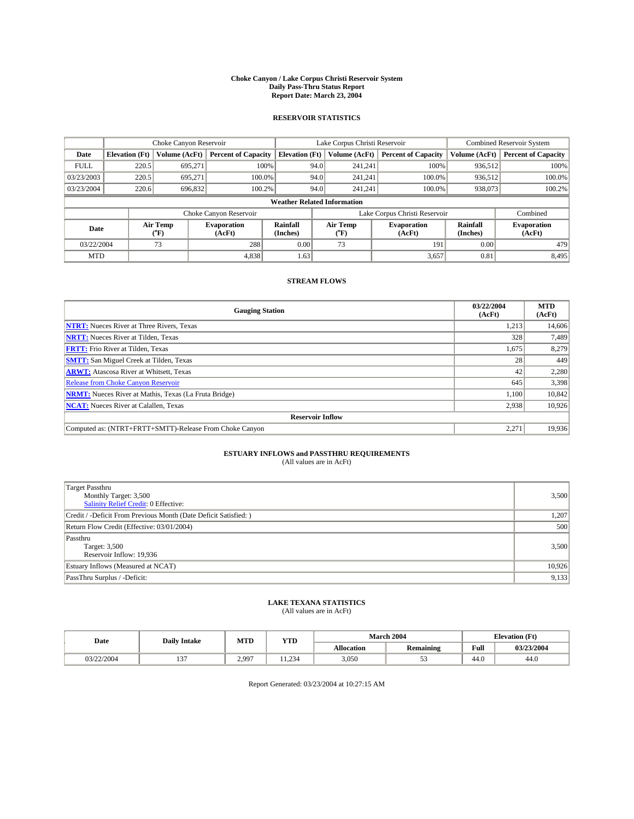#### **Choke Canyon / Lake Corpus Christi Reservoir System Daily Pass-Thru Status Report Report Date: March 23, 2004**

### **RESERVOIR STATISTICS**

|             | Choke Canyon Reservoir             |                  |                              |                             |      | Lake Corpus Christi Reservoir | Combined Reservoir System     |                      |                              |  |
|-------------|------------------------------------|------------------|------------------------------|-----------------------------|------|-------------------------------|-------------------------------|----------------------|------------------------------|--|
| Date        | <b>Elevation</b> (Ft)              | Volume (AcFt)    | <b>Percent of Capacity</b>   | <b>Elevation</b> (Ft)       |      | Volume (AcFt)                 | <b>Percent of Capacity</b>    | Volume (AcFt)        | <b>Percent of Capacity</b>   |  |
| <b>FULL</b> | 220.5                              | 695,271          |                              | 100%                        | 94.0 | 241,241                       | 100%                          | 936.512              | 100%                         |  |
| 03/23/2003  | 220.5                              | 695.271          | $100.0\%$                    |                             | 94.0 | 241.241                       | $100.0\%$                     | 936.512              | 100.0%                       |  |
| 03/23/2004  | 220.6                              | 696,832          | 100.2%                       |                             | 94.0 | 241.241                       | $100.0\%$                     | 938,073              | 100.2%                       |  |
|             | <b>Weather Related Information</b> |                  |                              |                             |      |                               |                               |                      |                              |  |
|             |                                    |                  | Choke Canyon Reservoir       |                             |      |                               | Lake Corpus Christi Reservoir |                      | Combined                     |  |
| Date        |                                    | Air Temp<br>(°F) | <b>Evaporation</b><br>(AcFt) | <b>Rainfall</b><br>(Inches) |      | Air Temp<br>("F)              | <b>Evaporation</b><br>(AcFt)  | Rainfall<br>(Inches) | <b>Evaporation</b><br>(AcFt) |  |
| 03/22/2004  |                                    | 73               | 288                          | 0.00                        |      | 73                            | 191                           | 0.00                 | 479                          |  |
| <b>MTD</b>  |                                    |                  | 4,838                        | 1.63                        |      |                               | 3,657                         | 0.81                 | 8,495                        |  |

## **STREAM FLOWS**

| <b>Gauging Station</b>                                       | 03/22/2004<br>(AcFt) | <b>MTD</b><br>(AcFt) |
|--------------------------------------------------------------|----------------------|----------------------|
| <b>NTRT:</b> Nueces River at Three Rivers, Texas             | 1,213                | 14,606               |
| <b>NRTT:</b> Nueces River at Tilden, Texas                   | 328                  | 7,489                |
| <b>FRTT:</b> Frio River at Tilden, Texas                     | 1,675                | 8,279                |
| <b>SMTT:</b> San Miguel Creek at Tilden, Texas               | 28                   | 449                  |
| <b>ARWT:</b> Atascosa River at Whitsett, Texas               | 42                   | 2,280                |
| <b>Release from Choke Canyon Reservoir</b>                   | 645                  | 3,398                |
| <b>NRMT:</b> Nueces River at Mathis, Texas (La Fruta Bridge) | 1,100                | 10,842               |
| <b>NCAT:</b> Nueces River at Calallen, Texas                 | 2,938                | 10,926               |
| <b>Reservoir Inflow</b>                                      |                      |                      |
| Computed as: (NTRT+FRTT+SMTT)-Release From Choke Canyon      | 2.271                | 19,936               |

# **ESTUARY INFLOWS and PASSTHRU REQUIREMENTS**<br>(All values are in AcFt)

| <b>Target Passthru</b><br>Monthly Target: 3,500<br>Salinity Relief Credit: 0 Effective: | 3,500  |
|-----------------------------------------------------------------------------------------|--------|
| Credit / -Deficit From Previous Month (Date Deficit Satisfied: )                        | 1,207  |
| Return Flow Credit (Effective: 03/01/2004)                                              | 500    |
| Passthru<br>Target: 3,500<br>Reservoir Inflow: 19,936                                   | 3,500  |
| Estuary Inflows (Measured at NCAT)                                                      | 10,926 |
| PassThru Surplus / -Deficit:                                                            | 9,133  |

# **LAKE TEXANA STATISTICS** (All values are in AcFt)

| Date       | <b>Daily Intake</b> | MTD   | <b>YTD</b> |                   | <b>March 2004</b> | <b>Elevation</b> (Ft) |            |
|------------|---------------------|-------|------------|-------------------|-------------------|-----------------------|------------|
|            |                     |       |            | <b>Allocation</b> | <b>Remaining</b>  | Full                  | 03/23/2004 |
| 03/22/2004 | $\sim$<br>…         | 2.997 | . 1.234    | 3,050             | ◡                 | $\sim$<br>44.U        | 44.0       |

Report Generated: 03/23/2004 at 10:27:15 AM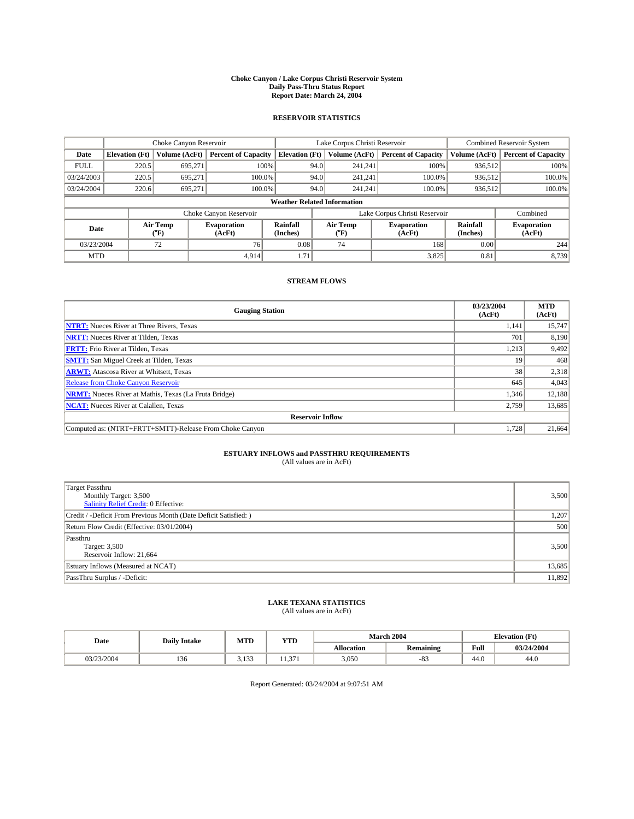#### **Choke Canyon / Lake Corpus Christi Reservoir System Daily Pass-Thru Status Report Report Date: March 24, 2004**

### **RESERVOIR STATISTICS**

|             | Choke Canyon Reservoir             |                  | Lake Corpus Christi Reservoir |                             |      |                          | Combined Reservoir System     |                      |                              |  |
|-------------|------------------------------------|------------------|-------------------------------|-----------------------------|------|--------------------------|-------------------------------|----------------------|------------------------------|--|
| Date        | <b>Elevation</b> (Ft)              | Volume (AcFt)    | <b>Percent of Capacity</b>    | <b>Elevation</b> (Ft)       |      | Volume (AcFt)            | <b>Percent of Capacity</b>    | Volume (AcFt)        | <b>Percent of Capacity</b>   |  |
| <b>FULL</b> | 220.5                              | 695,271          |                               | 100%                        | 94.0 | 241,241                  | 100%                          | 936,512              | 100%                         |  |
| 03/24/2003  | 220.5                              | 695.271          | $100.0\%$                     |                             | 94.0 | 241,241                  | $100.0\%$                     | 936,512              | 100.0%                       |  |
| 03/24/2004  | 220.6                              | 695,271          | 100.0%                        |                             | 94.0 | 241,241                  | $100.0\%$                     | 936,512              | 100.0%                       |  |
|             | <b>Weather Related Information</b> |                  |                               |                             |      |                          |                               |                      |                              |  |
|             |                                    |                  | Choke Canyon Reservoir        |                             |      |                          | Lake Corpus Christi Reservoir |                      | Combined                     |  |
| Date        |                                    | Air Temp<br>(°F) | <b>Evaporation</b><br>(AcFt)  | <b>Rainfall</b><br>(Inches) |      | Air Temp<br>$\rm ^{o}F)$ | <b>Evaporation</b><br>(AcFt)  | Rainfall<br>(Inches) | <b>Evaporation</b><br>(AcFt) |  |
| 03/23/2004  |                                    | 72               | 76                            | 0.08                        |      | 74                       | 168                           | 0.00                 | 244                          |  |
| <b>MTD</b>  |                                    |                  | 4.914                         | 1.71                        |      |                          | 3,825                         | 0.81                 | 8,739                        |  |

## **STREAM FLOWS**

| <b>Gauging Station</b>                                       | 03/23/2004<br>(AcFt) | <b>MTD</b><br>(AcFt) |
|--------------------------------------------------------------|----------------------|----------------------|
| <b>NTRT:</b> Nueces River at Three Rivers, Texas             | 1,141                | 15,747               |
| <b>NRTT:</b> Nueces River at Tilden, Texas                   | 701                  | 8,190                |
| <b>FRTT:</b> Frio River at Tilden, Texas                     | 1,213                | 9,492                |
| <b>SMTT:</b> San Miguel Creek at Tilden, Texas               | 19                   | 468                  |
| <b>ARWT:</b> Atascosa River at Whitsett, Texas               | 38                   | 2,318                |
| <b>Release from Choke Canyon Reservoir</b>                   | 645                  | 4,043                |
| <b>NRMT:</b> Nueces River at Mathis, Texas (La Fruta Bridge) | 1,346                | 12,188               |
| <b>NCAT:</b> Nueces River at Calallen, Texas                 | 2,759                | 13,685               |
| <b>Reservoir Inflow</b>                                      |                      |                      |
| Computed as: (NTRT+FRTT+SMTT)-Release From Choke Canyon      | 1.728                | 21,664               |

# **ESTUARY INFLOWS and PASSTHRU REQUIREMENTS**<br>(All values are in AcFt)

| <b>Target Passthru</b><br>Monthly Target: 3,500<br>Salinity Relief Credit: 0 Effective: | 3,500  |
|-----------------------------------------------------------------------------------------|--------|
| Credit / -Deficit From Previous Month (Date Deficit Satisfied: )                        | 1,207  |
| Return Flow Credit (Effective: 03/01/2004)                                              | 500    |
| Passthru<br>Target: 3,500<br>Reservoir Inflow: 21,664                                   | 3,500  |
| Estuary Inflows (Measured at NCAT)                                                      | 13,685 |
| PassThru Surplus / -Deficit:                                                            | 11,892 |

# **LAKE TEXANA STATISTICS** (All values are in AcFt)

| Date       | <b>Daily Intake</b> | MTD             | <b>YTD</b> |                   | <b>March 2004</b> | <b>Elevation</b> (Ft) |            |
|------------|---------------------|-----------------|------------|-------------------|-------------------|-----------------------|------------|
|            |                     |                 |            | <b>Allocation</b> | Remaining         | Full                  | 03/24/2004 |
| 03/23/2004 | 1.JU                | 122<br><u>.</u> | $\sim$     | 3,050             | o-<br>$-\delta$ . | 44.0                  | 44.0       |

Report Generated: 03/24/2004 at 9:07:51 AM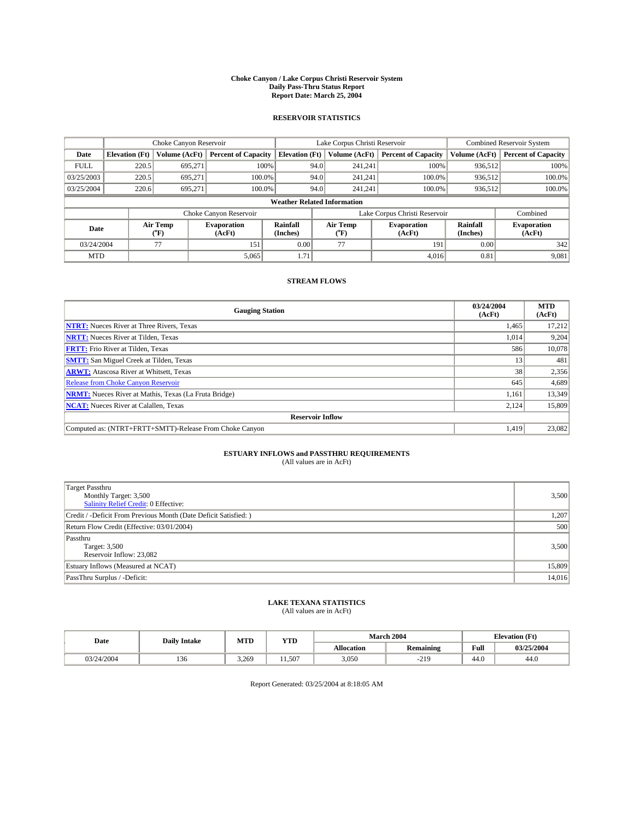#### **Choke Canyon / Lake Corpus Christi Reservoir System Daily Pass-Thru Status Report Report Date: March 25, 2004**

### **RESERVOIR STATISTICS**

|             | Choke Canyon Reservoir             |                             | Lake Corpus Christi Reservoir |                             |      |                  | Combined Reservoir System     |                      |                              |  |
|-------------|------------------------------------|-----------------------------|-------------------------------|-----------------------------|------|------------------|-------------------------------|----------------------|------------------------------|--|
| Date        | <b>Elevation</b> (Ft)              | Volume (AcFt)               | <b>Percent of Capacity</b>    | <b>Elevation</b> (Ft)       |      | Volume (AcFt)    | <b>Percent of Capacity</b>    | Volume (AcFt)        | <b>Percent of Capacity</b>   |  |
| <b>FULL</b> | 220.5                              | 695,271                     |                               | 100%                        | 94.0 | 241,241          | 100%                          | 936.512              | 100%                         |  |
| 03/25/2003  | 220.5                              | 695.271                     | $100.0\%$                     |                             | 94.0 | 241.241          | $100.0\%$                     | 936.512              | 100.0%                       |  |
| 03/25/2004  | 220.6                              | 695.271                     | 100.0%                        |                             | 94.0 | 241.241          | $100.0\%$                     | 936,512              | 100.0%                       |  |
|             | <b>Weather Related Information</b> |                             |                               |                             |      |                  |                               |                      |                              |  |
|             |                                    |                             | Choke Canyon Reservoir        |                             |      |                  | Lake Corpus Christi Reservoir |                      | Combined                     |  |
| Date        |                                    | Air Temp<br>${}^{\circ}$ F) | <b>Evaporation</b><br>(AcFt)  | <b>Rainfall</b><br>(Inches) |      | Air Temp<br>("F) | <b>Evaporation</b><br>(AcFt)  | Rainfall<br>(Inches) | <b>Evaporation</b><br>(AcFt) |  |
| 03/24/2004  |                                    | 77                          | 151                           | 0.00                        |      | 77               | 191                           | 0.00                 | 342                          |  |
| <b>MTD</b>  |                                    |                             | 5,065                         | 1.71                        |      |                  | 4.016                         | 0.81                 | 9,081                        |  |

## **STREAM FLOWS**

| <b>Gauging Station</b>                                       | 03/24/2004<br>(AcFt) | <b>MTD</b><br>(AcFt) |
|--------------------------------------------------------------|----------------------|----------------------|
| <b>NTRT:</b> Nueces River at Three Rivers, Texas             | 1,465                | 17,212               |
| <b>NRTT:</b> Nueces River at Tilden, Texas                   | 1,014                | 9,204                |
| <b>FRTT:</b> Frio River at Tilden, Texas                     | 586                  | 10,078               |
| <b>SMTT:</b> San Miguel Creek at Tilden, Texas               | 13                   | 481                  |
| <b>ARWT:</b> Atascosa River at Whitsett, Texas               | 38                   | 2,356                |
| <b>Release from Choke Canyon Reservoir</b>                   | 645                  | 4,689                |
| <b>NRMT:</b> Nueces River at Mathis, Texas (La Fruta Bridge) | 1.161                | 13.349               |
| <b>NCAT:</b> Nueces River at Calallen, Texas                 | 2,124                | 15,809               |
| <b>Reservoir Inflow</b>                                      |                      |                      |
| Computed as: (NTRT+FRTT+SMTT)-Release From Choke Canvon      | 1.419                | 23,082               |

## **ESTUARY INFLOWS and PASSTHRU REQUIREMENTS**<br>(All values are in AcFt)

| Target Passthru<br>Monthly Target: 3,500<br>Salinity Relief Credit: 0 Effective: | 3,500  |
|----------------------------------------------------------------------------------|--------|
| Credit / -Deficit From Previous Month (Date Deficit Satisfied: )                 | 1,207  |
| Return Flow Credit (Effective: 03/01/2004)                                       | 500    |
| Passthru<br>Target: 3,500<br>Reservoir Inflow: 23,082                            | 3,500  |
| Estuary Inflows (Measured at NCAT)                                               | 15,809 |
| PassThru Surplus / -Deficit:                                                     | 14,016 |

# **LAKE TEXANA STATISTICS** (All values are in AcFt)

| Date       | <b>Daily Intake</b> | MTD   | <b>YTD</b> |                   | <b>March 2004</b> | <b>Elevation</b> (Ft) |            |
|------------|---------------------|-------|------------|-------------------|-------------------|-----------------------|------------|
|            |                     |       |            | <b>Allocation</b> | <b>Remaining</b>  | Full                  | 03/25/2004 |
| 03/24/2004 | 136                 | 3.269 | 1.507      | 3,050             | $-219$            | $\sim$<br>44.0        | 44.0       |

Report Generated: 03/25/2004 at 8:18:05 AM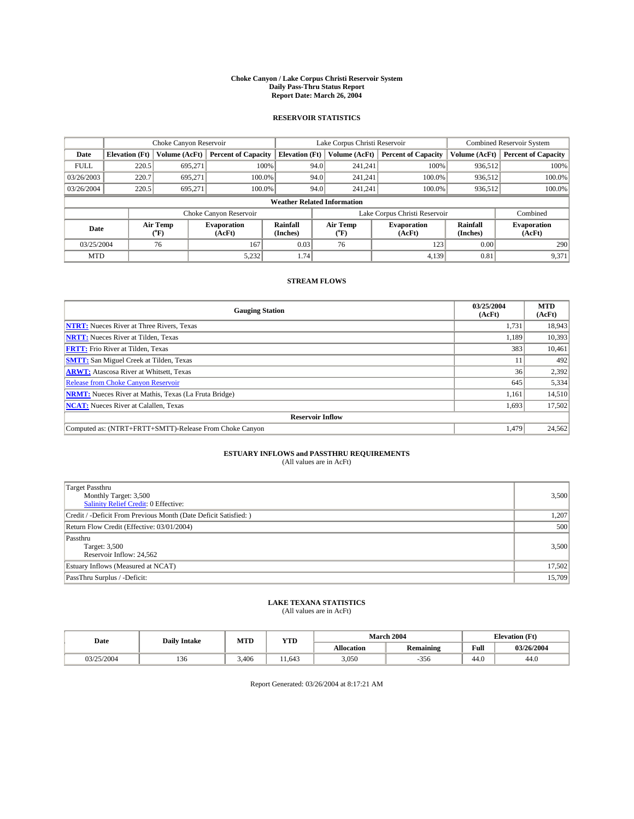#### **Choke Canyon / Lake Corpus Christi Reservoir System Daily Pass-Thru Status Report Report Date: March 26, 2004**

### **RESERVOIR STATISTICS**

|             | Choke Canyon Reservoir             |                             | Lake Corpus Christi Reservoir |                             |      |                  | Combined Reservoir System     |                      |                              |  |
|-------------|------------------------------------|-----------------------------|-------------------------------|-----------------------------|------|------------------|-------------------------------|----------------------|------------------------------|--|
| Date        | <b>Elevation</b> (Ft)              | Volume (AcFt)               | <b>Percent of Capacity</b>    | <b>Elevation</b> (Ft)       |      | Volume (AcFt)    | <b>Percent of Capacity</b>    | Volume (AcFt)        | <b>Percent of Capacity</b>   |  |
| <b>FULL</b> | 220.5                              | 695,271                     |                               | 100%                        | 94.0 | 241,241          | 100%                          | 936.512              | 100%                         |  |
| 03/26/2003  | 220.7                              | 695.271                     | $100.0\%$                     |                             | 94.0 | 241.241          | $100.0\%$                     | 936.512              | 100.0%                       |  |
| 03/26/2004  | 220.5                              | 695.271                     | 100.0%                        |                             | 94.0 | 241.241          | $100.0\%$                     | 936,512              | 100.0%                       |  |
|             | <b>Weather Related Information</b> |                             |                               |                             |      |                  |                               |                      |                              |  |
|             |                                    |                             | Choke Canyon Reservoir        |                             |      |                  | Lake Corpus Christi Reservoir |                      | Combined                     |  |
| Date        |                                    | Air Temp<br>${}^{\circ}$ F) | <b>Evaporation</b><br>(AcFt)  | <b>Rainfall</b><br>(Inches) |      | Air Temp<br>("F) | <b>Evaporation</b><br>(AcFt)  | Rainfall<br>(Inches) | <b>Evaporation</b><br>(AcFt) |  |
| 03/25/2004  |                                    | 76                          | 167                           | 0.03                        |      | 76               | 123                           | 0.00                 | 290                          |  |
| <b>MTD</b>  |                                    |                             | 5,232                         | 1.74                        |      |                  | 4,139                         | 0.81                 | 9,371                        |  |

## **STREAM FLOWS**

| <b>Gauging Station</b>                                       | 03/25/2004<br>(AcFt) | <b>MTD</b><br>(AcFt) |
|--------------------------------------------------------------|----------------------|----------------------|
| <b>NTRT:</b> Nueces River at Three Rivers, Texas             | 1,731                | 18,943               |
| <b>NRTT:</b> Nueces River at Tilden, Texas                   | 1.189                | 10,393               |
| <b>FRTT:</b> Frio River at Tilden, Texas                     | 383                  | 10,461               |
| <b>SMTT:</b> San Miguel Creek at Tilden, Texas               | 11                   | 492                  |
| <b>ARWT:</b> Atascosa River at Whitsett, Texas               | 36                   | 2,392                |
| <b>Release from Choke Canyon Reservoir</b>                   | 645                  | 5,334                |
| <b>NRMT:</b> Nueces River at Mathis, Texas (La Fruta Bridge) | 1,161                | 14,510               |
| <b>NCAT:</b> Nueces River at Calallen, Texas                 | 1,693                | 17,502               |
| <b>Reservoir Inflow</b>                                      |                      |                      |
| Computed as: (NTRT+FRTT+SMTT)-Release From Choke Canyon      | 1.479                | 24,562               |

# **ESTUARY INFLOWS and PASSTHRU REQUIREMENTS**<br>(All values are in AcFt)

| <b>Target Passthru</b><br>Monthly Target: 3,500<br>Salinity Relief Credit: 0 Effective: | 3,500  |
|-----------------------------------------------------------------------------------------|--------|
| Credit / -Deficit From Previous Month (Date Deficit Satisfied: )                        | 1,207  |
| Return Flow Credit (Effective: 03/01/2004)                                              | 500    |
| Passthru<br>Target: 3,500<br>Reservoir Inflow: 24,562                                   | 3,500  |
| Estuary Inflows (Measured at NCAT)                                                      | 17,502 |
| PassThru Surplus / -Deficit:                                                            | 15,709 |

# **LAKE TEXANA STATISTICS** (All values are in AcFt)

| Date       | <b>Daily Intake</b> | MTD   | <b>YTD</b> |                   | <b>March 2004</b> | <b>Elevation</b> (Ft) |            |
|------------|---------------------|-------|------------|-------------------|-------------------|-----------------------|------------|
|            |                     |       |            | <b>Allocation</b> | <b>Remaining</b>  | Full                  | 03/26/2004 |
| 03/25/2004 | 150                 | 3.406 | 1.643      | 3,050             | 356               | $\sim$<br>44.U        | 44.0       |

Report Generated: 03/26/2004 at 8:17:21 AM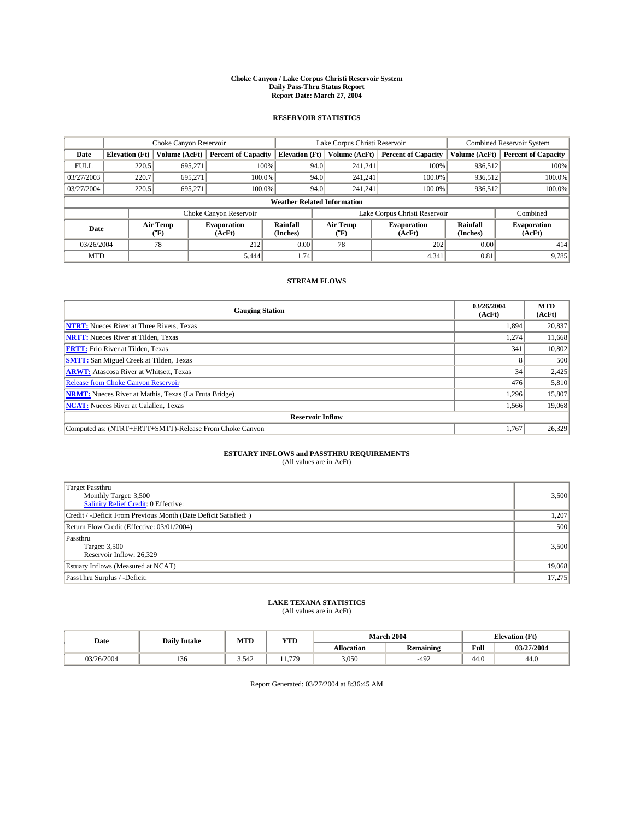#### **Choke Canyon / Lake Corpus Christi Reservoir System Daily Pass-Thru Status Report Report Date: March 27, 2004**

### **RESERVOIR STATISTICS**

|                                    | Choke Canyon Reservoir |                             | Lake Corpus Christi Reservoir |                             |      |                  | Combined Reservoir System     |                      |                              |
|------------------------------------|------------------------|-----------------------------|-------------------------------|-----------------------------|------|------------------|-------------------------------|----------------------|------------------------------|
| Date                               | <b>Elevation</b> (Ft)  | Volume (AcFt)               | <b>Percent of Capacity</b>    | <b>Elevation</b> (Ft)       |      | Volume (AcFt)    | <b>Percent of Capacity</b>    | Volume (AcFt)        | <b>Percent of Capacity</b>   |
| <b>FULL</b>                        | 220.5                  | 695,271                     |                               | 100%                        | 94.0 | 241,241          | 100%                          | 936.512              | 100%                         |
| 03/27/2003                         | 220.7                  | 695.271                     | $100.0\%$                     |                             | 94.0 | 241.241          | $100.0\%$                     | 936.512              | 100.0%                       |
| 03/27/2004                         | 220.5                  | 695.271                     | 100.0%                        |                             | 94.0 | 241.241          | $100.0\%$                     | 936,512              | 100.0%                       |
| <b>Weather Related Information</b> |                        |                             |                               |                             |      |                  |                               |                      |                              |
|                                    |                        |                             | Choke Canyon Reservoir        |                             |      |                  | Lake Corpus Christi Reservoir |                      | Combined                     |
| Date                               |                        | Air Temp<br>${}^{\circ}$ F) | <b>Evaporation</b><br>(AcFt)  | <b>Rainfall</b><br>(Inches) |      | Air Temp<br>("F) | <b>Evaporation</b><br>(AcFt)  | Rainfall<br>(Inches) | <b>Evaporation</b><br>(AcFt) |
| 03/26/2004                         |                        | 78                          | 212                           | 0.00                        |      | 78               | 202                           | 0.00                 | 414                          |
| <b>MTD</b>                         |                        |                             | 5,444                         | 1.74                        |      |                  | 4,341                         | 0.81                 | 9,785                        |

## **STREAM FLOWS**

| <b>Gauging Station</b>                                       | 03/26/2004<br>(AcFt) | <b>MTD</b><br>(AcFt) |
|--------------------------------------------------------------|----------------------|----------------------|
| <b>NTRT:</b> Nueces River at Three Rivers, Texas             | 1,894                | 20,837               |
| <b>NRTT:</b> Nueces River at Tilden, Texas                   | 1.274                | 11,668               |
| <b>FRTT:</b> Frio River at Tilden, Texas                     | 341                  | 10,802               |
| <b>SMTT:</b> San Miguel Creek at Tilden, Texas               |                      | 500                  |
| <b>ARWT:</b> Atascosa River at Whitsett, Texas               | 34                   | 2,425                |
| <b>Release from Choke Canyon Reservoir</b>                   | 476                  | 5,810                |
| <b>NRMT:</b> Nueces River at Mathis, Texas (La Fruta Bridge) | 1,296                | 15,807               |
| <b>NCAT:</b> Nueces River at Calallen, Texas                 | 1,566                | 19,068               |
| <b>Reservoir Inflow</b>                                      |                      |                      |
| Computed as: (NTRT+FRTT+SMTT)-Release From Choke Canyon      | 1.767                | 26,329               |

# **ESTUARY INFLOWS and PASSTHRU REQUIREMENTS**<br>(All values are in AcFt)

| <b>Target Passthru</b><br>Monthly Target: 3,500<br>Salinity Relief Credit: 0 Effective: | 3,500  |
|-----------------------------------------------------------------------------------------|--------|
| Credit / -Deficit From Previous Month (Date Deficit Satisfied: )                        | 1,207  |
| Return Flow Credit (Effective: 03/01/2004)                                              | 500    |
| Passthru<br>Target: 3,500<br>Reservoir Inflow: 26,329                                   | 3,500  |
| Estuary Inflows (Measured at NCAT)                                                      | 19,068 |
| PassThru Surplus / -Deficit:                                                            | 17,275 |

# **LAKE TEXANA STATISTICS** (All values are in AcFt)

| Date       | <b>Daily Intake</b> | MTD   | <b>YTD</b> |                   | <b>March 2004</b> | <b>Elevation</b> (Ft) |            |
|------------|---------------------|-------|------------|-------------------|-------------------|-----------------------|------------|
|            |                     |       |            | <b>Allocation</b> | <b>Remaining</b>  | Full                  | 03/27/2004 |
| 03/26/2004 | 136                 | 3,542 | 779        | 3,050             | $-492$            | $\sim$<br>44.V        | 44.0       |

Report Generated: 03/27/2004 at 8:36:45 AM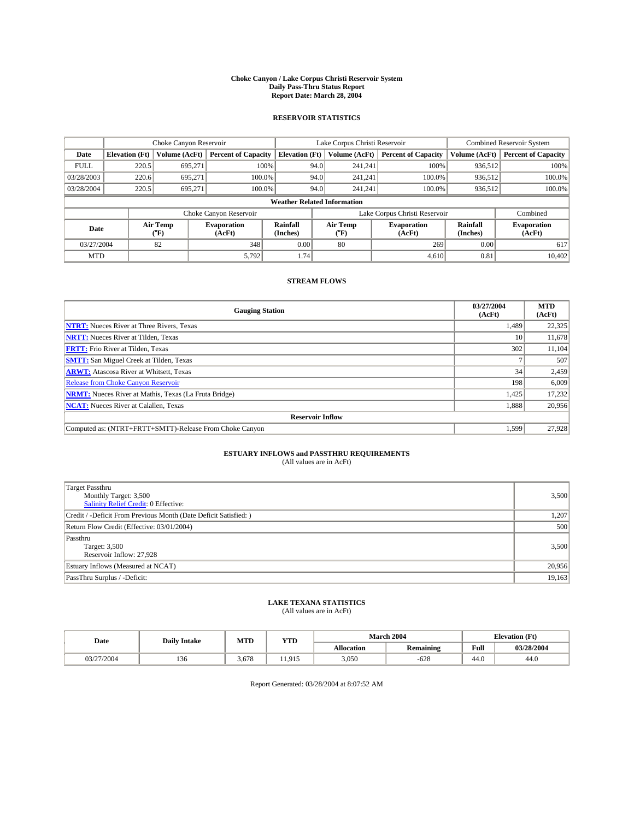#### **Choke Canyon / Lake Corpus Christi Reservoir System Daily Pass-Thru Status Report Report Date: March 28, 2004**

### **RESERVOIR STATISTICS**

|                                    | Choke Canyon Reservoir |                  | Lake Corpus Christi Reservoir |                             |      |                  | Combined Reservoir System     |                      |                              |
|------------------------------------|------------------------|------------------|-------------------------------|-----------------------------|------|------------------|-------------------------------|----------------------|------------------------------|
| Date                               | <b>Elevation (Ft)</b>  | Volume (AcFt)    | <b>Percent of Capacity</b>    | <b>Elevation</b> (Ft)       |      | Volume (AcFt)    | <b>Percent of Capacity</b>    | Volume (AcFt)        | <b>Percent of Capacity</b>   |
| <b>FULL</b>                        | 220.5                  | 695,271          |                               | 100%                        | 94.0 | 241,241          | 100%                          | 936.512              | 100%                         |
| 03/28/2003                         | 220.6                  | 695.271          | $100.0\%$                     |                             | 94.0 | 241.241          | $100.0\%$                     | 936.512              | 100.0%                       |
| 03/28/2004                         | 220.5                  | 695.271          | 100.0%                        |                             | 94.0 | 241.241          | $100.0\%$                     | 936,512              | 100.0%                       |
| <b>Weather Related Information</b> |                        |                  |                               |                             |      |                  |                               |                      |                              |
|                                    |                        |                  | Choke Canyon Reservoir        |                             |      |                  | Lake Corpus Christi Reservoir |                      | Combined                     |
| Date                               |                        | Air Temp<br>(°F) | <b>Evaporation</b><br>(AcFt)  | <b>Rainfall</b><br>(Inches) |      | Air Temp<br>("F) | <b>Evaporation</b><br>(AcFt)  | Rainfall<br>(Inches) | <b>Evaporation</b><br>(AcFt) |
| 03/27/2004                         |                        | 82               | 348                           | 0.00                        |      | 80               | 269                           | 0.00                 | 617                          |
| <b>MTD</b>                         |                        |                  | 5,792                         | 1.74                        |      |                  | 4,610                         | 0.81                 | 10,402                       |

## **STREAM FLOWS**

| <b>Gauging Station</b>                                       | 03/27/2004<br>(AcFt) | <b>MTD</b><br>(AcFt) |
|--------------------------------------------------------------|----------------------|----------------------|
| <b>NTRT:</b> Nueces River at Three Rivers, Texas             | 1,489                | 22,325               |
| <b>NRTT:</b> Nueces River at Tilden, Texas                   | 10                   | 11,678               |
| <b>FRTT:</b> Frio River at Tilden, Texas                     | 302                  | 11,104               |
| <b>SMTT:</b> San Miguel Creek at Tilden, Texas               |                      | 507                  |
| <b>ARWT:</b> Atascosa River at Whitsett, Texas               | 34                   | 2,459                |
| <b>Release from Choke Canyon Reservoir</b>                   | 198                  | 6,009                |
| <b>NRMT:</b> Nueces River at Mathis, Texas (La Fruta Bridge) | 1,425                | 17,232               |
| <b>NCAT:</b> Nueces River at Calallen, Texas                 | 1,888                | 20,956               |
| <b>Reservoir Inflow</b>                                      |                      |                      |
| Computed as: (NTRT+FRTT+SMTT)-Release From Choke Canyon      | 1.599                | 27.928               |

# **ESTUARY INFLOWS and PASSTHRU REQUIREMENTS**<br>(All values are in AcFt)

| <b>Target Passthru</b><br>Monthly Target: 3,500<br>Salinity Relief Credit: 0 Effective: | 3,500  |
|-----------------------------------------------------------------------------------------|--------|
| Credit / -Deficit From Previous Month (Date Deficit Satisfied: )                        | 1,207  |
| Return Flow Credit (Effective: 03/01/2004)                                              | 500    |
| Passthru<br>Target: 3,500<br>Reservoir Inflow: 27,928                                   | 3,500  |
| Estuary Inflows (Measured at NCAT)                                                      | 20,956 |
| PassThru Surplus / -Deficit:                                                            | 19,163 |

# **LAKE TEXANA STATISTICS** (All values are in AcFt)

| Date       | <b>Daily Intake</b> | MTD   | YTD    |                   | March 2004                   | <b>Elevation</b> (Ft) |            |
|------------|---------------------|-------|--------|-------------------|------------------------------|-----------------------|------------|
|            |                     |       |        | <b>Allocation</b> | $\cdots$<br><b>Remaining</b> | Full                  | 03/28/2004 |
| 03/27/2004 | $\sim$<br>1.50      | 3.678 | 11.915 | 3,050             | $-628$                       | $\sqrt{2}$<br>-44.0   | 44.0       |

Report Generated: 03/28/2004 at 8:07:52 AM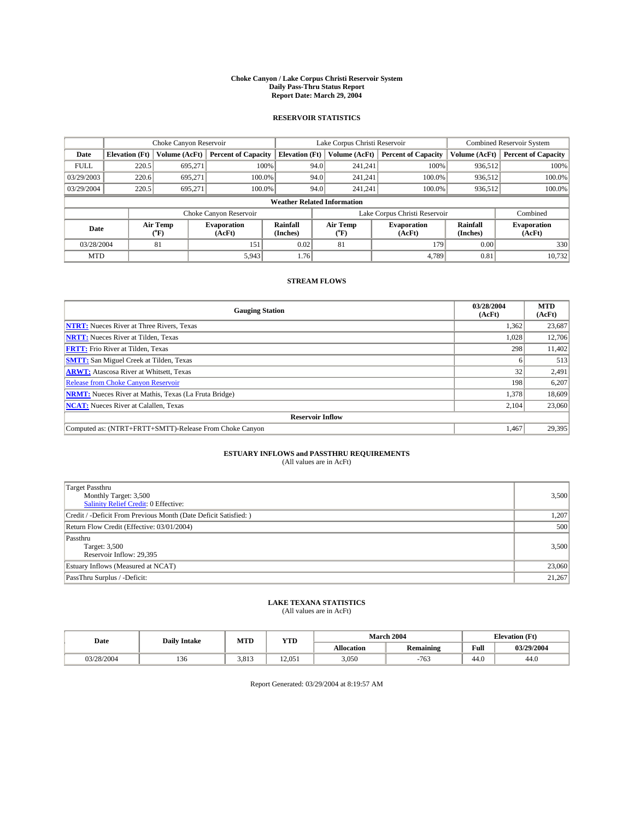#### **Choke Canyon / Lake Corpus Christi Reservoir System Daily Pass-Thru Status Report Report Date: March 29, 2004**

### **RESERVOIR STATISTICS**

|             | Choke Canyon Reservoir             |                  | Lake Corpus Christi Reservoir |                             |      |                  | Combined Reservoir System     |                             |                              |  |
|-------------|------------------------------------|------------------|-------------------------------|-----------------------------|------|------------------|-------------------------------|-----------------------------|------------------------------|--|
| Date        | <b>Elevation</b> (Ft)              | Volume (AcFt)    | <b>Percent of Capacity</b>    | <b>Elevation</b> (Ft)       |      | Volume (AcFt)    | <b>Percent of Capacity</b>    | Volume (AcFt)               | <b>Percent of Capacity</b>   |  |
| <b>FULL</b> | 220.5                              | 695,271          |                               | 100%                        | 94.0 | 241,241          | 100%                          | 936.512                     | 100%                         |  |
| 03/29/2003  | 220.6                              | 695.271          | $100.0\%$                     |                             | 94.0 | 241.241          | $100.0\%$                     | 936.512                     | 100.0%                       |  |
| 03/29/2004  | 220.5                              | 695.271          | 100.0%                        |                             | 94.0 | 241.241          | $100.0\%$                     | 936,512                     | 100.0%                       |  |
|             | <b>Weather Related Information</b> |                  |                               |                             |      |                  |                               |                             |                              |  |
|             |                                    |                  | Choke Canyon Reservoir        |                             |      |                  | Lake Corpus Christi Reservoir |                             | Combined                     |  |
| Date        |                                    | Air Temp<br>(°F) | <b>Evaporation</b><br>(AcFt)  | <b>Rainfall</b><br>(Inches) |      | Air Temp<br>("F) | <b>Evaporation</b><br>(AcFt)  | <b>Rainfall</b><br>(Inches) | <b>Evaporation</b><br>(AcFt) |  |
| 03/28/2004  |                                    | 81               | 151                           | 0.02                        |      | 81               | 179                           | 0.00                        | 330                          |  |
| <b>MTD</b>  |                                    |                  | 5,943                         | 1.76                        |      |                  | 4.789                         | 0.81                        | 10,732                       |  |

## **STREAM FLOWS**

| <b>Gauging Station</b>                                       | 03/28/2004<br>(AcFt) | <b>MTD</b><br>(AcFt) |
|--------------------------------------------------------------|----------------------|----------------------|
| <b>NTRT:</b> Nueces River at Three Rivers, Texas             | 1,362                | 23,687               |
| <b>NRTT:</b> Nueces River at Tilden, Texas                   | 1.028                | 12,706               |
| <b>FRTT:</b> Frio River at Tilden, Texas                     | 298                  | 11,402               |
| <b>SMTT:</b> San Miguel Creek at Tilden, Texas               |                      | 513                  |
| <b>ARWT:</b> Atascosa River at Whitsett, Texas               | 32                   | 2,491                |
| <b>Release from Choke Canyon Reservoir</b>                   | 198                  | 6,207                |
| <b>NRMT:</b> Nueces River at Mathis, Texas (La Fruta Bridge) | 1,378                | 18,609               |
| <b>NCAT:</b> Nueces River at Calallen, Texas                 | 2,104                | 23,060               |
| <b>Reservoir Inflow</b>                                      |                      |                      |
| Computed as: (NTRT+FRTT+SMTT)-Release From Choke Canyon      | 1.467                | 29,395               |

# **ESTUARY INFLOWS and PASSTHRU REQUIREMENTS**<br>(All values are in AcFt)

| Target Passthru<br>Monthly Target: 3,500<br>Salinity Relief Credit: 0 Effective: | 3,500  |
|----------------------------------------------------------------------------------|--------|
| Credit / -Deficit From Previous Month (Date Deficit Satisfied: )                 | 1,207  |
| Return Flow Credit (Effective: 03/01/2004)                                       | 500    |
| Passthru<br>Target: 3,500<br>Reservoir Inflow: 29,395                            | 3,500  |
| Estuary Inflows (Measured at NCAT)                                               | 23,060 |
| PassThru Surplus / -Deficit:                                                     | 21,267 |

# **LAKE TEXANA STATISTICS** (All values are in AcFt)

| Date       | <b>Daily Intake</b> | MTD   | <b>YTD</b> |                   | <b>March 2004</b>                 | <b>Elevation</b> (Ft) |            |
|------------|---------------------|-------|------------|-------------------|-----------------------------------|-----------------------|------------|
|            |                     |       |            | <b>Allocation</b> | $\sim$ $\sim$<br><b>Remaining</b> | Full                  | 03/29/2004 |
| 03/28/2004 | 136                 | 3,813 | 12,051     | 3,050             | 763                               | $\sim$<br>44.V        | 44.0       |

Report Generated: 03/29/2004 at 8:19:57 AM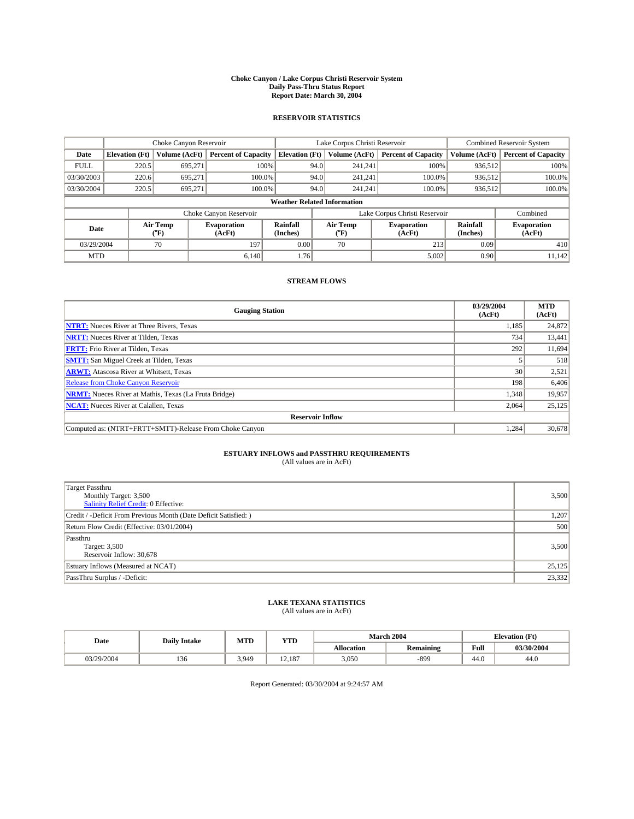#### **Choke Canyon / Lake Corpus Christi Reservoir System Daily Pass-Thru Status Report Report Date: March 30, 2004**

### **RESERVOIR STATISTICS**

|                                    | Choke Canyon Reservoir |                  | Lake Corpus Christi Reservoir |                       |      |                  | <b>Combined Reservoir System</b> |                      |                              |
|------------------------------------|------------------------|------------------|-------------------------------|-----------------------|------|------------------|----------------------------------|----------------------|------------------------------|
| Date                               | <b>Elevation</b> (Ft)  | Volume (AcFt)    | <b>Percent of Capacity</b>    | <b>Elevation (Ft)</b> |      | Volume (AcFt)    | <b>Percent of Capacity</b>       | Volume (AcFt)        | <b>Percent of Capacity</b>   |
| <b>FULL</b>                        | 220.5                  | 695,271          |                               | 100%                  | 94.0 | 241,241          | 100%                             | 936.512              | 100%                         |
| 03/30/2003                         | 220.6                  | 695.271          | $100.0\%$                     |                       | 94.0 | 241.241          | $100.0\%$                        | 936.512              | 100.0%                       |
| 03/30/2004                         | 220.5                  | 695.271          | 100.0%                        |                       | 94.0 | 241.241          | $100.0\%$                        | 936,512              | 100.0%                       |
| <b>Weather Related Information</b> |                        |                  |                               |                       |      |                  |                                  |                      |                              |
|                                    |                        |                  | Choke Canyon Reservoir        |                       |      |                  | Lake Corpus Christi Reservoir    |                      | Combined                     |
| Date                               |                        | Air Temp<br>(°F) | <b>Evaporation</b><br>(AcFt)  | Rainfall<br>(Inches)  |      | Air Temp<br>("F) | <b>Evaporation</b><br>(AcFt)     | Rainfall<br>(Inches) | <b>Evaporation</b><br>(AcFt) |
| 03/29/2004                         |                        | 70               | 197                           | 0.00                  |      | 70               | 213                              | 0.09                 | 410                          |
| <b>MTD</b>                         |                        |                  | 6.140                         | 1.76                  |      |                  | 5,002                            | 0.90                 | 11,142                       |

## **STREAM FLOWS**

| <b>Gauging Station</b>                                       | 03/29/2004<br>(AcFt) | <b>MTD</b><br>(AcFt) |
|--------------------------------------------------------------|----------------------|----------------------|
| <b>NTRT:</b> Nueces River at Three Rivers, Texas             | 1,185                | 24,872               |
| <b>NRTT:</b> Nueces River at Tilden, Texas                   | 734                  | 13,441               |
| <b>FRTT:</b> Frio River at Tilden, Texas                     | 292                  | 11,694               |
| <b>SMTT:</b> San Miguel Creek at Tilden, Texas               |                      | 518                  |
| <b>ARWT:</b> Atascosa River at Whitsett, Texas               | 30 <sup>1</sup>      | 2,521                |
| <b>Release from Choke Canyon Reservoir</b>                   | 198                  | 6,406                |
| <b>NRMT:</b> Nueces River at Mathis, Texas (La Fruta Bridge) | 1,348                | 19,957               |
| <b>NCAT:</b> Nueces River at Calallen, Texas                 | 2,064                | 25,125               |
| <b>Reservoir Inflow</b>                                      |                      |                      |
| Computed as: (NTRT+FRTT+SMTT)-Release From Choke Canyon      | 1,284                | 30,678               |

# **ESTUARY INFLOWS and PASSTHRU REQUIREMENTS**<br>(All values are in AcFt)

| <b>Target Passthru</b><br>Monthly Target: 3,500<br>Salinity Relief Credit: 0 Effective: | 3,500  |
|-----------------------------------------------------------------------------------------|--------|
| Credit / -Deficit From Previous Month (Date Deficit Satisfied: )                        | 1,207  |
| Return Flow Credit (Effective: 03/01/2004)                                              | 500    |
| Passthru<br>Target: 3,500<br>Reservoir Inflow: 30,678                                   | 3,500  |
| Estuary Inflows (Measured at NCAT)                                                      | 25,125 |
| PassThru Surplus / -Deficit:                                                            | 23,332 |

# **LAKE TEXANA STATISTICS** (All values are in AcFt)

| Date       | <b>Daily Intake</b> | MTD   | <b>VTT</b><br>1 I D |                   | <b>March 2004</b> | <b>Elevation</b> (Ft)      |            |
|------------|---------------------|-------|---------------------|-------------------|-------------------|----------------------------|------------|
|            |                     |       |                     | <b>Allocation</b> | <b>Remaining</b>  | Full                       | 03/30/2004 |
| 03/29/2004 | ۰e<br>1.JU          | 3,949 | 12.187              | 3,050             | $-899$            | $\sim$<br>44. <sub>V</sub> | 44.0       |

Report Generated: 03/30/2004 at 9:24:57 AM